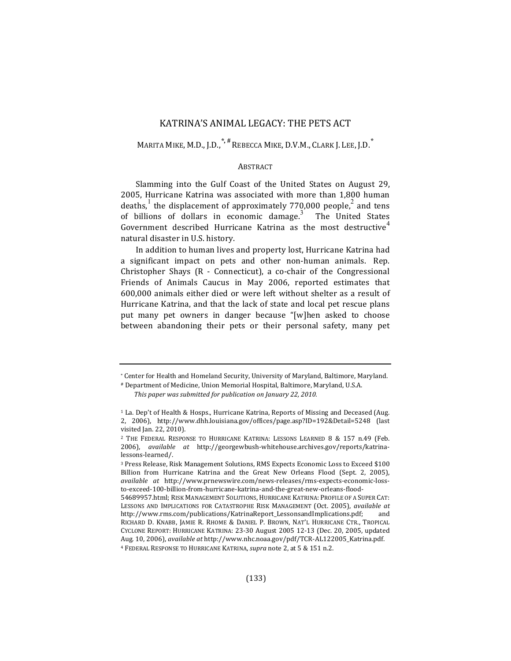# KATRINA'S ANIMAL LEGACY: THE PETS ACT

MARITA MIKE, M.D., J.D.,<sup>\*, #</sup> REBECCA MIKE, D.V.M., CLARK J. LEE, J.D.<sup>\*</sup>

# **ABSTRACT**

Slamming into the Gulf Coast of the United States on August 29, 2005, Hurricane Katrina was associated with more than 1,800 human deaths,<sup>1</sup> the displacement of approximately 770,000 people,<sup>2</sup> and tens of billions of dollars in economic damage. $3$ The United States Government described Hurricane Katrina as the most destructive<sup>4</sup> natural disaster in U.S. history.

In addition to human lives and property lost, Hurricane Katrina had a significant impact on pets and other non-human animals. Rep. Christopher Shays  $(R -$  Connecticut), a co-chair of the Congressional Friends of Animals Caucus in May 2006, reported estimates that 600,000 animals either died or were left without shelter as a result of Hurricane Katrina, and that the lack of state and local pet rescue plans put many pet owners in danger because "[w]hen asked to choose between abandoning their pets or their personal safety, many pet

<sup>\*</sup> Center for Health and Homeland Security, University of Maryland, Baltimore, Maryland.

<sup>#</sup> Department of Medicine, Union Memorial Hospital, Baltimore, Maryland, U.S.A.

This paper was submitted for publication on January 22, 2010.

 $1$  La. Dep't of Health & Hosps., Hurricane Katrina, Reports of Missing and Deceased (Aug. 2, 2006), http://www.dhh.louisiana.gov/offices/page.asp?ID=192&Detail=5248 (last visited Jan. 22, 2010).

<sup>&</sup>lt;sup>2</sup> THE FEDERAL RESPONSE TO HURRICANE KATRINA: LESSONS LEARNED 8 & 157 n.49 (Feb. 2006), *available at* http://georgewbush-whitehouse.archives.gov/reports/katrinalessons-learned/. 

<sup>&</sup>lt;sup>3</sup> Press Release, Risk Management Solutions, RMS Expects Economic Loss to Exceed \$100 Billion from Hurricane Katrina and the Great New Orleans Flood (Sept. 2, 2005), *available at*  http://www.prnewswire.com/news-releases/rms-expects-economic-lossto-exceed-100-billion-from-hurricane-katrina-and-the-great-new-orleans-flood-

<sup>54689957.</sup>html; RISK MANAGEMENT SOLUTIONS, HURRICANE KATRINA: PROFILE OF A SUPER CAT: LESSONS AND IMPLICATIONS FOR CATASTROPHE RISK MANAGEMENT (Oct. 2005), *available at* http://www.rms.com/publications/KatrinaReport\_LessonsandImplications.pdf; and RICHARD D. KNABB, JAMIE R. RHOME & DANIEL P. BROWN, NAT'L HURRICANE CTR., TROPICAL CYCLONE REPORT: HURRICANE KATRINA: 23-30 August 2005 12-13 (Dec. 20, 2005, updated Aug. 10, 2006), *available at* http://www.nhc.noaa.gov/pdf/TCR-AL122005\_Katrina.pdf. <sup>4</sup> FEDERAL RESPONSE TO HURRICANE KATRINA, *supra* note 2, at 5 & 151 n.2.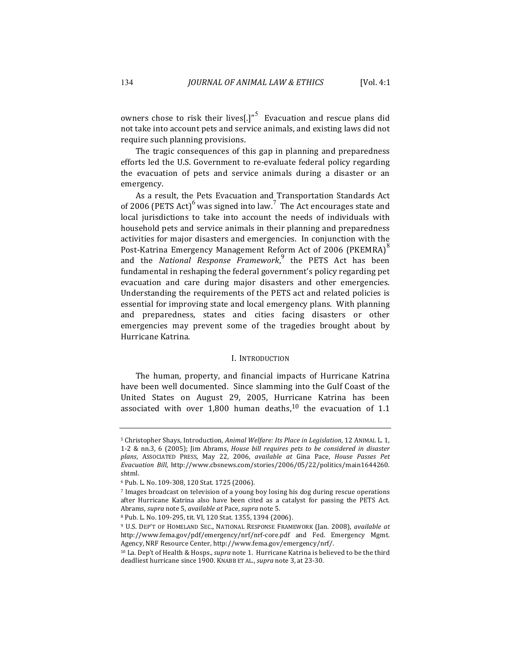owners chose to risk their lives[.]"<sup>5</sup> Evacuation and rescue plans did not take into account pets and service animals, and existing laws did not require such planning provisions.

The tragic consequences of this gap in planning and preparedness efforts led the U.S. Government to re-evaluate federal policy regarding the evacuation of pets and service animals during a disaster or an emergency. 

As a result, the Pets Evacuation and Transportation Standards Act of 2006 (PETS Act)<sup>6</sup> was signed into law.<sup>7</sup> The Act encourages state and local jurisdictions to take into account the needs of individuals with household pets and service animals in their planning and preparedness activities for major disasters and emergencies. In conjunction with the Post-Katrina Emergency Management Reform Act of 2006 (PKEMRA)<sup>8</sup> and the *National Response Framework*,<sup>9</sup> the PETS Act has been fundamental in reshaping the federal government's policy regarding pet evacuation and care during major disasters and other emergencies. Understanding the requirements of the PETS act and related policies is essential for improving state and local emergency plans. With planning and preparedness, states and cities facing disasters or other emergencies may prevent some of the tragedies brought about by Hurricane Katrina.

#### I. INTRODUCTION

The human, property, and financial impacts of Hurricane Katrina have been well documented. Since slamming into the Gulf Coast of the United States on August 29, 2005, Hurricane Katrina has been associated with over  $1,800$  human deaths,<sup>10</sup> the evacuation of 1.1

<sup>5</sup> Christopher Shays, Introduction, *Animal Welfare: Its Place in Legislation*, 12 ANIMAL L. 1, 1-2 & nn.3, 6 (2005); Jim Abrams, *House bill requires pets to be considered in disaster plans*, ASSOCIATED PRESS, May 22, 2006, *available at*  Gina Pace, *House Passes Pet Evacuation Bill*, http://www.cbsnews.com/stories/2006/05/22/politics/main1644260. shtml. 

<sup>6</sup> Pub. L. No. 109-308, 120 Stat. 1725 (2006).

<sup>&</sup>lt;sup>7</sup> Images broadcast on television of a young boy losing his dog during rescue operations after Hurricane Katrina also have been cited as a catalyst for passing the PETS Act. Abrams, *supra* note 5, *available at Pace*, *supra* note 5.

<sup>8</sup> Pub. L. No. 109-295, tit. VI, 120 Stat. 1355, 1394 (2006).

<sup>&</sup>lt;sup>9</sup> U.S. DEP'T OF HOMELAND SEC., NATIONAL RESPONSE FRAMEWORK (Jan. 2008), *available at* http://www.fema.gov/pdf/emergency/nrf/nrf-core.pdf and Fed. Emergency Mgmt. Agency, NRF Resource Center, http://www.fema.gov/emergency/nrf/.

<sup>&</sup>lt;sup>10</sup> La. Dep't of Health & Hosps., *supra* note 1. Hurricane Katrina is believed to be the third deadliest hurricane since 1900. KNABB ET AL., *supra* note 3, at 23-30.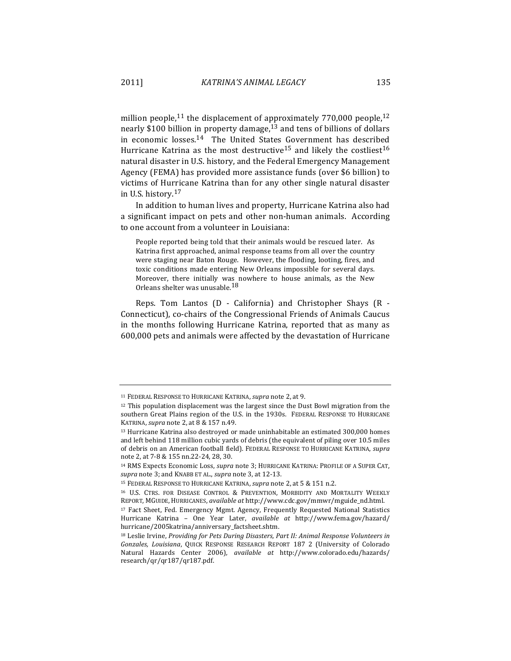million people,<sup>11</sup> the displacement of approximately 770,000 people,<sup>12</sup> nearly \$100 billion in property damage,<sup>13</sup> and tens of billions of dollars in economic losses. $14$  The United States Government has described Hurricane Katrina as the most destructive<sup>15</sup> and likely the costliest<sup>16</sup> natural disaster in U.S. history, and the Federal Emergency Management Agency (FEMA) has provided more assistance funds (over \$6 billion) to victims of Hurricane Katrina than for any other single natural disaster in U.S. history.<sup>17</sup>

In addition to human lives and property, Hurricane Katrina also had a significant impact on pets and other non-human animals. According to one account from a volunteer in Louisiana:

People reported being told that their animals would be rescued later. As Katrina first approached, animal response teams from all over the country were staging near Baton Rouge. However, the flooding, looting, fires, and toxic conditions made entering New Orleans impossible for several days. Moreover, there initially was nowhere to house animals, as the New Orleans shelter was unusable.<sup>18</sup>

Reps. Tom Lantos (D - California) and Christopher Shays (R -Connecticut), co-chairs of the Congressional Friends of Animals Caucus in the months following Hurricane Katrina, reported that as many as 600,000 pets and animals were affected by the devastation of Hurricane

<sup>&</sup>lt;sup>11</sup> FEDERAL RESPONSE TO HURRICANE KATRINA, *supra* note 2, at 9.

 $12$  This population displacement was the largest since the Dust Bowl migration from the southern Great Plains region of the U.S. in the 1930s. FEDERAL RESPONSE TO HURRICANE KATRINA, *supra* note 2, at 8 & 157 n.49.

 $13$  Hurricane Katrina also destroyed or made uninhabitable an estimated  $300,000$  homes and left behind 118 million cubic yards of debris (the equivalent of piling over 10.5 miles of debris on an American football field). FEDERAL RESPONSE TO HURRICANE KATRINA, *supra* note 2, at 7-8 & 155 nn.22-24, 28, 30.

<sup>&</sup>lt;sup>14</sup> RMS Expects Economic Loss, *supra* note 3; HURRICANE KATRINA: PROFILE OF A SUPER CAT, supra note 3; and KNABB ET AL., *supra* note 3, at 12-13.

<sup>&</sup>lt;sup>15</sup> FEDERAL RESPONSE TO HURRICANE KATRINA, *supra* note 2, at 5 & 151 n.2.

<sup>&</sup>lt;sup>16</sup> U.S. CTRS. FOR DISEASE CONTROL & PREVENTION, MORBIDITY AND MORTALITY WEEKLY REPORT, MGUIDE, HURRICANES, *available at* http://www.cdc.gov/mmwr/mguide\_nd.html.

<sup>&</sup>lt;sup>17</sup> Fact Sheet, Fed. Emergency Mgmt. Agency, Frequently Requested National Statistics Hurricane Katrina - One Year Later, *available at* http://www.fema.gov/hazard/ hurricane/2005katrina/anniversary\_factsheet.shtm.

<sup>&</sup>lt;sup>18</sup> Leslie Irvine, *Providing for Pets During Disasters, Part II: Animal Response Volunteers in* Gonzales, Louisiana, QUICK RESPONSE RESEARCH REPORT 187 2 (University of Colorado Natural Hazards Center 2006), *available at*  http://www.colorado.edu/hazards/ research/qr/qr187/qr187.pdf.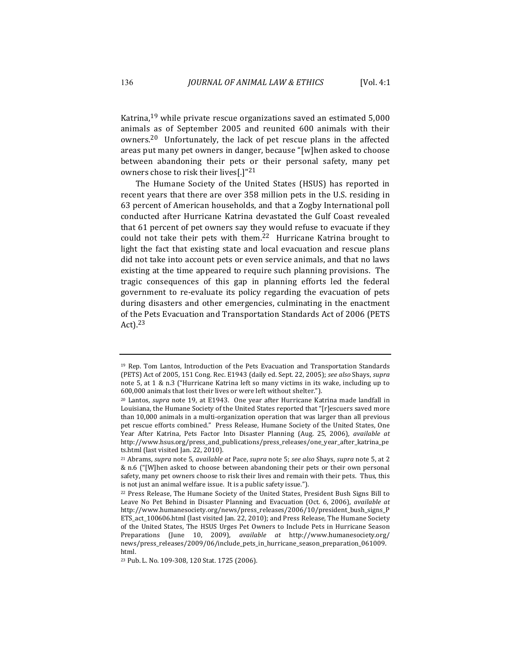Katrina,<sup>19</sup> while private rescue organizations saved an estimated 5,000 animals as of September 2005 and reunited 600 animals with their owners.<sup>20</sup> Unfortunately, the lack of pet rescue plans in the affected areas put many pet owners in danger, because "[w]hen asked to choose between abandoning their pets or their personal safety, many pet owners chose to risk their lives[.] $"^{21}$ 

The Humane Society of the United States (HSUS) has reported in recent years that there are over 358 million pets in the U.S. residing in 63 percent of American households, and that a Zogby International poll conducted after Hurricane Katrina devastated the Gulf Coast revealed that 61 percent of pet owners say they would refuse to evacuate if they could not take their pets with them.<sup>22</sup> Hurricane Katrina brought to light the fact that existing state and local evacuation and rescue plans did not take into account pets or even service animals, and that no laws existing at the time appeared to require such planning provisions. The tragic consequences of this gap in planning efforts led the federal government to re-evaluate its policy regarding the evacuation of pets during disasters and other emergencies, culminating in the enactment of the Pets Evacuation and Transportation Standards Act of 2006 (PETS Act). 23 

 $19$  Rep. Tom Lantos, Introduction of the Pets Evacuation and Transportation Standards (PETS) Act of 2005, 151 Cong. Rec. E1943 (daily ed. Sept. 22, 2005); *see also* Shays, *supra* note 5, at  $1 \& n.3$  ("Hurricane Katrina left so many victims in its wake, including up to 600,000 animals that lost their lives or were left without shelter.").

<sup>&</sup>lt;sup>20</sup> Lantos, *supra* note 19, at E1943. One year after Hurricane Katrina made landfall in Louisiana, the Humane Society of the United States reported that "[r]escuers saved more than 10,000 animals in a multi-organization operation that was larger than all previous pet rescue efforts combined." Press Release, Humane Society of the United States, One Year After Katrina, Pets Factor Into Disaster Planning (Aug. 25, 2006), *available at* http://www.hsus.org/press\_and\_publications/press\_releases/one\_year\_after\_katrina\_pe ts.html (last visited Jan. 22, 2010).

<sup>&</sup>lt;sup>21</sup> Abrams, *supra* note 5, *available at Pace, supra* note 5; *see also* Shays, *supra* note 5, at 2 & n.6 ("[W]hen asked to choose between abandoning their pets or their own personal safety, many pet owners choose to risk their lives and remain with their pets. Thus, this is not just an animal welfare issue. It is a public safety issue.").

<sup>&</sup>lt;sup>22</sup> Press Release, The Humane Society of the United States, President Bush Signs Bill to Leave No Pet Behind in Disaster Planning and Evacuation (Oct. 6, 2006), *available at* http://www.humanesociety.org/news/press\_releases/2006/10/president\_bush\_signs\_P ETS\_act\_100606.html (last visited Jan. 22, 2010); and Press Release, The Humane Society of the United States, The HSUS Urges Pet Owners to Include Pets in Hurricane Season Preparations (June 10, 2009), *available at* http://www.humanesociety.org/ news/press\_releases/2009/06/include\_pets\_in\_hurricane\_season\_preparation\_061009. html.

<sup>&</sup>lt;sup>23</sup> Pub. L. No. 109-308, 120 Stat. 1725 (2006).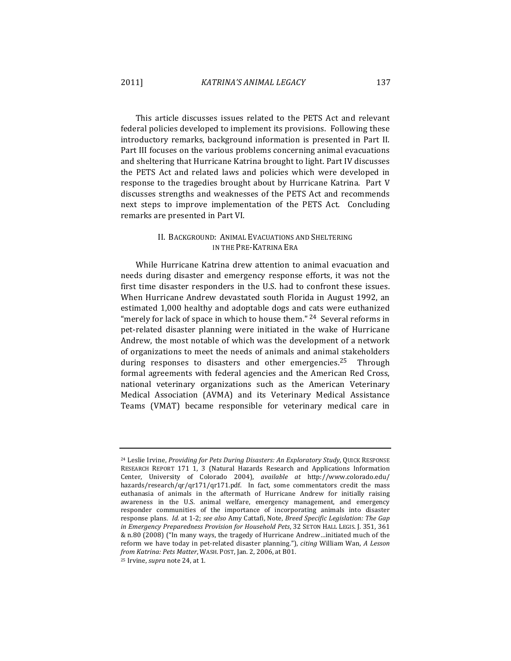This article discusses issues related to the PETS Act and relevant federal policies developed to implement its provisions. Following these introductory remarks, background information is presented in Part II. Part III focuses on the various problems concerning animal evacuations and sheltering that Hurricane Katrina brought to light. Part IV discusses the PETS Act and related laws and policies which were developed in response to the tragedies brought about by Hurricane Katrina. Part V discusses strengths and weaknesses of the PETS Act and recommends next steps to improve implementation of the PETS Act. Concluding remarks are presented in Part VI.

# II. BACKGROUND: ANIMAL EVACUATIONS AND SHELTERING IN THE PRE-KATRINA ERA

While Hurricane Katrina drew attention to animal evacuation and needs during disaster and emergency response efforts, it was not the first time disaster responders in the U.S. had to confront these issues. When Hurricane Andrew devastated south Florida in August 1992, an estimated 1,000 healthy and adoptable dogs and cats were euthanized "merely for lack of space in which to house them."  $24$  Several reforms in pet-related disaster planning were initiated in the wake of Hurricane Andrew, the most notable of which was the development of a network of organizations to meet the needs of animals and animal stakeholders during responses to disasters and other emergencies.<sup>25</sup> Through formal agreements with federal agencies and the American Red Cross, national veterinary organizations such as the American Veterinary Medical Association (AVMA) and its Veterinary Medical Assistance Teams (VMAT) became responsible for veterinary medical care in 

<sup>25</sup> Irvine, *supra* note 24, at 1.

<sup>&</sup>lt;sup>24</sup> Leslie Irvine, *Providing for Pets During Disasters: An Exploratory Study*, QUICK RESPONSE RESEARCH REPORT 171 1, 3 (Natural Hazards Research and Applications Information Center, University of Colorado 2004), *available at http://www.colorado.edu/* hazards/research/qr/qr171/qr171.pdf. In fact, some commentators credit the mass euthanasia of animals in the aftermath of Hurricane Andrew for initially raising awareness in the U.S. animal welfare, emergency management, and emergency responder communities of the importance of incorporating animals into disaster response plans. *Id.* at 1-2; see also Amy Cattafi, Note, Breed Specific Legislation: The Gap *in Emergency Preparedness Provision for Household Pets*, 32 SETON HALL LEGIS. [. 351, 361 & n.80 (2008) ("In many ways, the tragedy of Hurricane Andrew...initiated much of the reform we have today in pet-related disaster planning."), *citing* William Wan, *A Lesson from Katrina: Pets Matter, WASH. POST, Jan. 2, 2006, at B01.*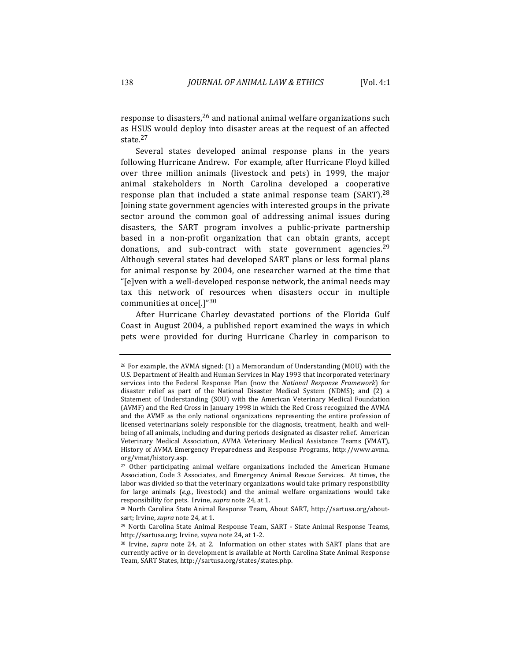response to disasters,  $26$  and national animal welfare organizations such as HSUS would deploy into disaster areas at the request of an affected state.<sup>27</sup>

Several states developed animal response plans in the years following Hurricane Andrew. For example, after Hurricane Floyd killed over three million animals (livestock and pets) in 1999, the major animal stakeholders in North Carolina developed a cooperative response plan that included a state animal response team (SART). $^{28}$ Joining state government agencies with interested groups in the private sector around the common goal of addressing animal issues during disasters, the SART program involves a public-private partnership based in a non-profit organization that can obtain grants, accept donations, and sub-contract with state government agencies.<sup>29</sup> Although several states had developed SART plans or less formal plans for animal response by 2004, one researcher warned at the time that "[e]ven with a well-developed response network, the animal needs may tax this network of resources when disasters occur in multiple communities at once[.] $"30$ 

After Hurricane Charley devastated portions of the Florida Gulf Coast in August 2004, a published report examined the ways in which pets were provided for during Hurricane Charley in comparison to 

<sup>&</sup>lt;sup>26</sup> For example, the AVMA signed:  $(1)$  a Memorandum of Understanding (MOU) with the U.S. Department of Health and Human Services in May 1993 that incorporated veterinary services into the Federal Response Plan (now the *National Response Framework*) for disaster relief as part of the National Disaster Medical System (NDMS); and (2) a Statement of Understanding (SOU) with the American Veterinary Medical Foundation (AVMF) and the Red Cross in January 1998 in which the Red Cross recognized the AVMA and the AVMF as the only national organizations representing the entire profession of licensed veterinarians solely responsible for the diagnosis, treatment, health and wellbeing of all animals, including and during periods designated as disaster relief. American Veterinary Medical Association, AVMA Veterinary Medical Assistance Teams (VMAT), History of AVMA Emergency Preparedness and Response Programs, http://www.avma. org/vmat/history.asp. 

<sup>&</sup>lt;sup>27</sup> Other participating animal welfare organizations included the American Humane Association, Code 3 Associates, and Emergency Animal Rescue Services. At times, the labor was divided so that the veterinary organizations would take primary responsibility for large animals  $(e.g.,$  livestock) and the animal welfare organizations would take responsibility for pets. Irvine, *supra* note 24, at 1.

 $28$  North Carolina State Animal Response Team, About SART, http://sartusa.org/aboutsart; Irvine, *supra* note 24, at 1.

<sup>&</sup>lt;sup>29</sup> North Carolina State Animal Response Team, SART - State Animal Response Teams, http://sartusa.org; Irvine, *supra* note 24, at 1-2.

<sup>&</sup>lt;sup>30</sup> Irvine, *supra* note 24, at 2. Information on other states with SART plans that are currently active or in development is available at North Carolina State Animal Response Team, SART States, http://sartusa.org/states/states.php.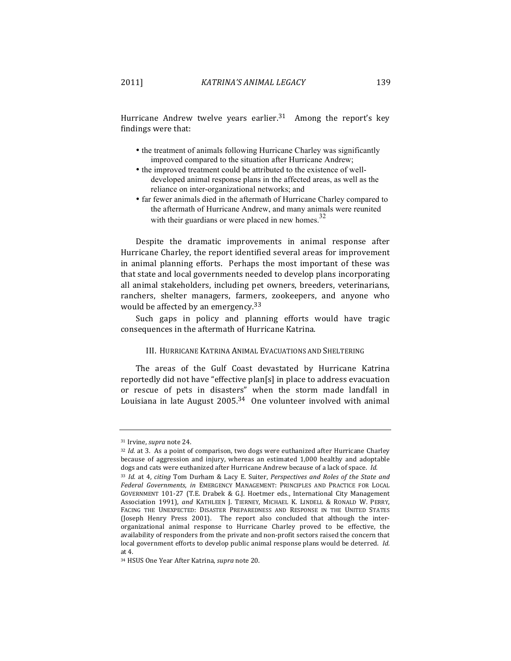Hurricane Andrew twelve years earlier.<sup>31</sup> Among the report's key findings were that:

- the treatment of animals following Hurricane Charley was significantly improved compared to the situation after Hurricane Andrew;
- the improved treatment could be attributed to the existence of welldeveloped animal response plans in the affected areas, as well as the reliance on inter-organizational networks; and
- far fewer animals died in the aftermath of Hurricane Charley compared to the aftermath of Hurricane Andrew, and many animals were reunited with their guardians or were placed in new homes.<sup>32</sup>

Despite the dramatic improvements in animal response after Hurricane Charley, the report identified several areas for improvement in animal planning efforts. Perhaps the most important of these was that state and local governments needed to develop plans incorporating all animal stakeholders, including pet owners, breeders, veterinarians, ranchers, shelter managers, farmers, zookeepers, and anyone who would be affected by an emergency.  $33$ 

Such gaps in policy and planning efforts would have tragic consequences in the aftermath of Hurricane Katrina.

## III. HURRICANE KATRINA ANIMAL EVACUATIONS AND SHELTERING

The areas of the Gulf Coast devastated by Hurricane Katrina reportedly did not have "effective plan[s] in place to address evacuation or rescue of pets in disasters" when the storm made landfall in Louisiana in late August  $2005<sup>34</sup>$  One volunteer involved with animal

<sup>&</sup>lt;sup>31</sup> Irvine, *supra* note 24.

<sup>32</sup> *Id.* at 3. As a point of comparison, two dogs were euthanized after Hurricane Charley because of aggression and injury, whereas an estimated 1,000 healthy and adoptable dogs and cats were euthanized after Hurricane Andrew because of a lack of space. *Id.* 

<sup>&</sup>lt;sup>33</sup> *Id.* at 4, *citing* Tom Durham & Lacy E. Suiter, *Perspectives and Roles of the State and* Federal Governments, in EMERGENCY MANAGEMENT: PRINCIPLES AND PRACTICE FOR LOCAL GOVERNMENT 101-27 (T.E. Drabek & G.J. Hoetmer eds., International City Management Association 1991), and KATHLEEN J. TIERNEY, MICHAEL K. LINDELL & RONALD W. PERRY, FACING THE UNEXPECTED: DISASTER PREPAREDNESS AND RESPONSE IN THE UNITED STATES (Joseph Henry Press 2001). The report also concluded that although the interorganizational animal response to Hurricane Charley proved to be effective, the availability of responders from the private and non-profit sectors raised the concern that local government efforts to develop public animal response plans would be deterred. *Id.* at 4.

<sup>&</sup>lt;sup>34</sup> HSUS One Year After Katrina, *supra* note 20.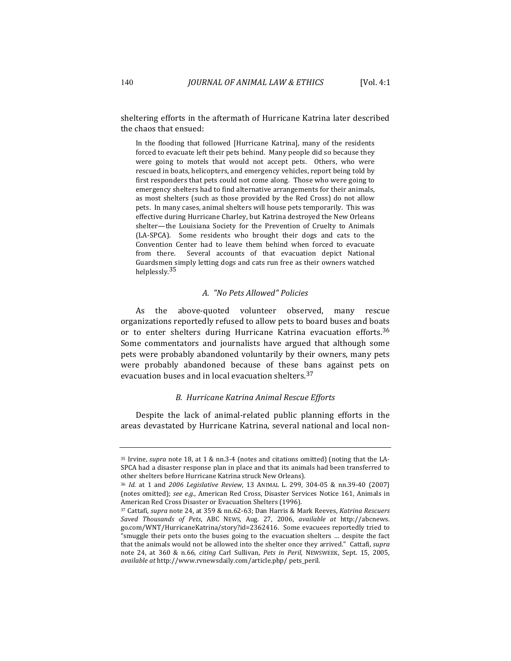sheltering efforts in the aftermath of Hurricane Katrina later described the chaos that ensued:

In the flooding that followed [Hurricane Katrina], many of the residents forced to evacuate left their pets behind. Many people did so because they were going to motels that would not accept pets. Others, who were rescued in boats, helicopters, and emergency vehicles, report being told by first responders that pets could not come along. Those who were going to emergency shelters had to find alternative arrangements for their animals, as most shelters (such as those provided by the Red Cross) do not allow pets. In many cases, animal shelters will house pets temporarily. This was effective during Hurricane Charley, but Katrina destroyed the New Orleans shelter—the Louisiana Society for the Prevention of Cruelty to Animals (LA-SPCA). Some residents who brought their dogs and cats to the Convention Center had to leave them behind when forced to evacuate from there. Several accounts of that evacuation depict National Guardsmen simply letting dogs and cats run free as their owners watched helplessly.<sup>35</sup>

### *A. "No Pets Allowed" Policies*

As the above-quoted volunteer observed, many rescue organizations reportedly refused to allow pets to board buses and boats or to enter shelters during Hurricane Katrina evacuation efforts.<sup>36</sup> Some commentators and journalists have argued that although some pets were probably abandoned voluntarily by their owners, many pets were probably abandoned because of these bans against pets on evacuation buses and in local evacuation shelters.<sup>37</sup>

## *B. Hurricane Katrina Animal Rescue Efforts*

Despite the lack of animal-related public planning efforts in the areas devastated by Hurricane Katrina, several national and local non-

<sup>&</sup>lt;sup>35</sup> Irvine, *supra* note 18, at 1 & nn.3-4 (notes and citations omitted) (noting that the LA-SPCA had a disaster response plan in place and that its animals had been transferred to other shelters before Hurricane Katrina struck New Orleans).

<sup>&</sup>lt;sup>36</sup> *Id.* at 1 and *2006 Legislative Review*, 13 ANIMAL L. 299, 304-05 & nn.39-40 (2007) (notes omitted); see e.g., American Red Cross, Disaster Services Notice 161, Animals in American Red Cross Disaster or Evacuation Shelters (1996).

<sup>&</sup>lt;sup>37</sup> Cattafi, *supra* note 24, at 359 & nn.62-63; Dan Harris & Mark Reeves, *Katrina Rescuers Saved Thousands of Pets*, ABC NEWS, Aug. 27, 2006, *available at* http://abcnews. go.com/WNT/HurricaneKatrina/story?id=2362416. Some evacuees reportedly tried to "smuggle their pets onto the buses going to the evacuation shelters ... despite the fact that the animals would not be allowed into the shelter once they arrived." Cattafi, *supra* note 24, at 360 & n.66, *citing* Carl Sullivan, *Pets in Peril*, NEWSWEEK, Sept. 15, 2005, *available at* http://www.rvnewsdaily.com/article.php/ pets\_peril.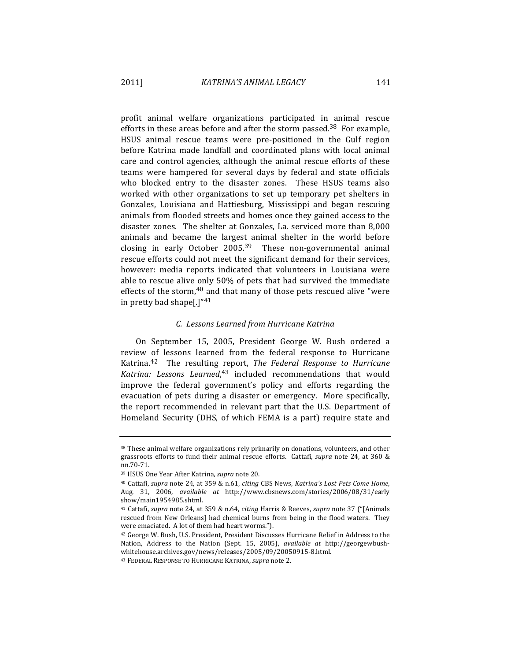profit animal welfare organizations participated in animal rescue efforts in these areas before and after the storm passed.<sup>38</sup> For example, HSUS animal rescue teams were pre-positioned in the Gulf region before Katrina made landfall and coordinated plans with local animal care and control agencies, although the animal rescue efforts of these teams were hampered for several days by federal and state officials who blocked entry to the disaster zones. These HSUS teams also worked with other organizations to set up temporary pet shelters in Gonzales, Louisiana and Hattiesburg, Mississippi and began rescuing animals from flooded streets and homes once they gained access to the disaster zones. The shelter at Gonzales, La. serviced more than 8,000 animals and became the largest animal shelter in the world before closing in early October 2005.<sup>39</sup> These non-governmental animal rescue efforts could not meet the significant demand for their services, however: media reports indicated that volunteers in Louisiana were able to rescue alive only 50% of pets that had survived the immediate effects of the storm, $40$  and that many of those pets rescued alive "were in pretty bad shape[.] $"41$ 

### *C. Lessons Learned from Hurricane Katrina*

On September 15, 2005, President George W. Bush ordered a review of lessons learned from the federal response to Hurricane Katrina.<sup>42</sup> The resulting report, *The Federal Response to Hurricane* Katrina: Lessons Learned,<sup>43</sup> included recommendations that would improve the federal government's policy and efforts regarding the evacuation of pets during a disaster or emergency. More specifically, the report recommended in relevant part that the U.S. Department of Homeland Security (DHS, of which FEMA is a part) require state and

<sup>38</sup> These animal welfare organizations rely primarily on donations, volunteers, and other grassroots efforts to fund their animal rescue efforts. Cattafi, *supra* note 24, at 360 & nn.70-71.

<sup>&</sup>lt;sup>39</sup> HSUS One Year After Katrina, *supra* note 20.

<sup>&</sup>lt;sup>40</sup> Cattafi, *supra* note 24, at 359 & n.61, *citing* CBS News, *Katrina's Lost Pets Come Home*, Aug. 31, 2006, *available at* http://www.cbsnews.com/stories/2006/08/31/early show/main1954985.shtml. 

<sup>&</sup>lt;sup>41</sup> Cattafi, *supra* note 24, at 359 & n.64, *citing* Harris & Reeves, *supra* note 37 ("[Animals rescued from New Orleans] had chemical burns from being in the flood waters. They were emaciated. A lot of them had heart worms.").

<sup>&</sup>lt;sup>42</sup> George W. Bush, U.S. President, President Discusses Hurricane Relief in Address to the Nation, Address to the Nation (Sept. 15, 2005), *available at* http://georgewbushwhitehouse.archives.gov/news/releases/2005/09/20050915-8.html. 

<sup>&</sup>lt;sup>43</sup> FEDERAL RESPONSE TO HURRICANE KATRINA, *supra* note 2.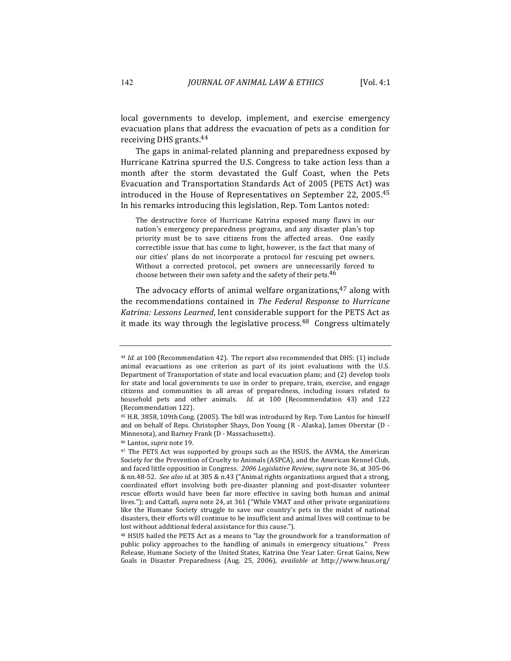local governments to develop, implement, and exercise emergency evacuation plans that address the evacuation of pets as a condition for receiving DHS grants.<sup>44</sup>

The gaps in animal-related planning and preparedness exposed by Hurricane Katrina spurred the U.S. Congress to take action less than a month after the storm devastated the Gulf Coast, when the Pets Evacuation and Transportation Standards Act of 2005 (PETS Act) was introduced in the House of Representatives on September 22, 2005.<sup>45</sup> In his remarks introducing this legislation, Rep. Tom Lantos noted:

The destructive force of Hurricane Katrina exposed many flaws in our nation's emergency preparedness programs, and any disaster plan's top priority must be to save citizens from the affected areas. One easily correctible issue that has come to light, however, is the fact that many of our cities' plans do not incorporate a protocol for rescuing pet owners. Without a corrected protocol, pet owners are unnecessarily forced to choose between their own safety and the safety of their pets. $46$ 

The advocacy efforts of animal welfare organizations,  $47$  along with the recommendations contained in *The Federal Response to Hurricane* Katrina: Lessons Learned, lent considerable support for the PETS Act as it made its way through the legislative process.<sup>48</sup> Congress ultimately

<sup>&</sup>lt;sup>44</sup> *Id.* at 100 (Recommendation 42). The report also recommended that DHS: (1) include animal evacuations as one criterion as part of its joint evaluations with the U.S. Department of Transportation of state and local evacuation plans; and  $(2)$  develop tools for state and local governments to use in order to prepare, train, exercise, and engage citizens and communities in all areas of preparedness, including issues related to household pets and other animals. *Id.* at 100 (Recommendation 43) and 122 (Recommendation 122).

<sup>&</sup>lt;sup>45</sup> H.R. 3858, 109th Cong. (2005). The bill was introduced by Rep. Tom Lantos for himself and on behalf of Reps. Christopher Shays, Don Young  $(R - Alaska)$ , James Oberstar  $(D - A)$ Minnesota), and Barney Frank (D - Massachusetts).

<sup>&</sup>lt;sup>46</sup> Lantos, *supra* note 19.

 $47$  The PETS Act was supported by groups such as the HSUS, the AVMA, the American Society for the Prevention of Cruelty to Animals (ASPCA), and the American Kennel Club, and faced little opposition in Congress. 2006 Legislative Review, supra note 36, at 305-06 & nn.48-52. See also id. at 305 & n.43 ("Animal rights organizations argued that a strong, coordinated effort involving both pre-disaster planning and post-disaster volunteer rescue efforts would have been far more effective in saving both human and animal lives."); and Cattafi, *supra* note 24, at 361 ("While VMAT and other private organizations like the Humane Society struggle to save our country's pets in the midst of national disasters, their efforts will continue to be insufficient and animal lives will continue to be lost without additional federal assistance for this cause.").

<sup>&</sup>lt;sup>48</sup> HSUS hailed the PETS Act as a means to "lay the groundwork for a transformation of public policy approaches to the handling of animals in emergency situations." Press Release, Humane Society of the United States, Katrina One Year Later: Great Gains, New Goals in Disaster Preparedness (Aug. 25, 2006), *available at http://www.hsus.org/*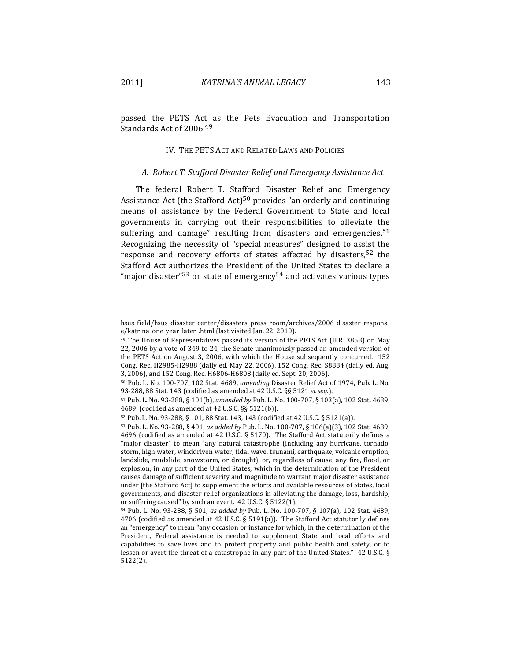passed the PETS Act as the Pets Evacuation and Transportation Standards Act of 2006.<sup>49</sup>

### IV. THE PETS ACT AND RELATED LAWS AND POLICIES

## *A. Robert T. Stafford Disaster Relief and Emergency Assistance Act*

The federal Robert T. Stafford Disaster Relief and Emergency Assistance Act (the Stafford Act)<sup>50</sup> provides "an orderly and continuing means of assistance by the Federal Government to State and local governments in carrying out their responsibilities to alleviate the suffering and damage" resulting from disasters and emergencies.<sup>51</sup> Recognizing the necessity of "special measures" designed to assist the response and recovery efforts of states affected by disasters,  $52$  the Stafford Act authorizes the President of the United States to declare a "major disaster"<sup>53</sup> or state of emergency<sup>54</sup> and activates various types

hsus\_field/hsus\_disaster\_center/disasters\_press\_room/archives/2006\_disaster\_respons e/katrina\_one\_year\_later\_.html (last visited Jan. 22, 2010).

<sup>&</sup>lt;sup>49</sup> The House of Representatives passed its version of the PETS Act (H.R. 3858) on May 22, 2006 by a vote of 349 to 24; the Senate unanimously passed an amended version of the PETS Act on August 3, 2006, with which the House subsequently concurred.  $152$ Cong. Rec. H2985-H2988 (daily ed. May 22, 2006), 152 Cong. Rec. S8884 (daily ed. Aug. 3, 2006), and 152 Cong. Rec. H6806-H6808 (daily ed. Sept. 20, 2006).

<sup>50</sup> Pub. L. No. 100-707, 102 Stat. 4689, *amending* Disaster Relief Act of 1974, Pub. L. No. 93-288, 88 Stat. 143 (codified as amended at 42 U.S.C. §§ 5121 et seq.).

<sup>51</sup> Pub. L. No. 93-288, § 101(b), amended by Pub. L. No. 100-707, § 103(a), 102 Stat. 4689, 4689 (codified as amended at 42 U.S.C. §§ 5121(b)).

<sup>52</sup> Pub. L. No. 93-288, § 101, 88 Stat. 143, 143 (codified at 42 U.S.C. § 5121(a)).

<sup>53</sup> Pub. L. No. 93-288, § 401, *as added by* Pub. L. No. 100-707, § 106(a)(3), 102 Stat. 4689, 4696 (codified as amended at 42 U.S.C. § 5170). The Stafford Act statutorily defines a "major disaster" to mean "any natural catastrophe (including any hurricane, tornado, storm, high water, winddriven water, tidal wave, tsunami, earthquake, volcanic eruption, landslide, mudslide, snowstorm, or drought), or, regardless of cause, any fire, flood, or explosion, in any part of the United States, which in the determination of the President causes damage of sufficient severity and magnitude to warrant major disaster assistance under [the Stafford Act] to supplement the efforts and available resources of States, local governments, and disaster relief organizations in alleviating the damage, loss, hardship, or suffering caused" by such an event.  $42$  U.S.C. §  $5122(1)$ .

<sup>54</sup> Pub. L. No. 93-288, § 501, *as added by* Pub. L. No. 100-707, § 107(a), 102 Stat. 4689, 4706 (codified as amended at 42 U.S.C. § 5191(a)). The Stafford Act statutorily defines an "emergency" to mean "any occasion or instance for which, in the determination of the President, Federal assistance is needed to supplement State and local efforts and capabilities to save lives and to protect property and public health and safety, or to lessen or avert the threat of a catastrophe in any part of the United States."  $42$  U.S.C. § 5122(2).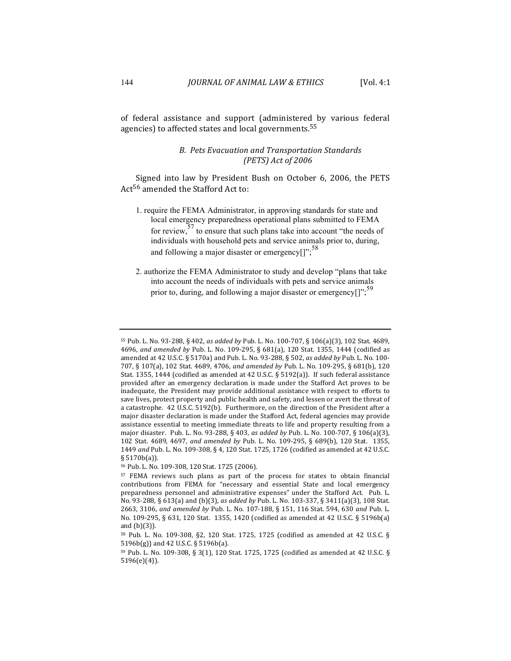of federal assistance and support (administered by various federal agencies) to affected states and local governments.<sup>55</sup>

# *B. Pets Evacuation and Transportation Standards (PETS) Act of 2006*

Signed into law by President Bush on October 6, 2006, the PETS Act<sup>56</sup> amended the Stafford Act to:

- 1. require the FEMA Administrator, in approving standards for state and local emergency preparedness operational plans submitted to FEMA for review,<sup>57</sup> to ensure that such plans take into account "the needs of individuals with household pets and service animals prior to, during, and following a major disaster or emergency $[$ ";<sup>58</sup>
- 2. authorize the FEMA Administrator to study and develop "plans that take into account the needs of individuals with pets and service animals prior to, during, and following a major disaster or emergency[]";<sup>59</sup>

<sup>55</sup> Pub. L. No. 93-288, § 402, *as added by* Pub. L. No. 100-707, § 106(a)(3), 102 Stat. 4689, 4696, and amended by Pub. L. No. 109-295, § 681(a), 120 Stat. 1355, 1444 (codified as amended at 42 U.S.C. § 5170a) and Pub. L. No. 93-288, § 502, *as added by* Pub. L. No. 100-707, § 107(a), 102 Stat. 4689, 4706, and amended by Pub. L. No. 109-295, § 681(b), 120 Stat. 1355, 1444 (codified as amended at 42 U.S.C. § 5192(a)). If such federal assistance provided after an emergency declaration is made under the Stafford Act proves to be inadequate, the President may provide additional assistance with respect to efforts to save lives, protect property and public health and safety, and lessen or avert the threat of a catastrophe. 42 U.S.C. 5192(b). Furthermore, on the direction of the President after a major disaster declaration is made under the Stafford Act, federal agencies may provide assistance essential to meeting immediate threats to life and property resulting from a major disaster. Pub. L. No. 93-288, § 403, *as added by* Pub. L. No. 100-707, § 106(a)(3), 102 Stat. 4689, 4697, and amended by Pub. L. No. 109-295, § 689(b), 120 Stat. 1355, 1449 and Pub. L. No. 109-308, § 4, 120 Stat. 1725, 1726 (codified as amended at 42 U.S.C. § 5170b(a)).

<sup>56</sup> Pub. L. No. 109-308, 120 Stat. 1725 (2006).

<sup>&</sup>lt;sup>57</sup> FEMA reviews such plans as part of the process for states to obtain financial contributions from FEMA for "necessary and essential State and local emergency preparedness personnel and administrative expenses" under the Stafford Act. Pub. L. No. 93-288, § 613(a) and (b)(3), as added by Pub. L. No. 103-337, § 3411(a)(3), 108 Stat. 2663, 3106, and amended by Pub. L. No. 107-188, § 151, 116 Stat. 594, 630 and Pub. L. No. 109-295, § 631, 120 Stat. 1355, 1420 (codified as amended at 42 U.S.C. § 5196b(a) and  $(b)(3)$ ).

<sup>58</sup> Pub. L. No. 109-308, §2, 120 Stat. 1725, 1725 (codified as amended at 42 U.S.C. §  $5196b(g)$ ) and 42 U.S.C. § 5196b(a).

 $59$  Pub. L. No. 109-308, § 3(1), 120 Stat. 1725, 1725 (codified as amended at 42 U.S.C. § 5196(e)(4)).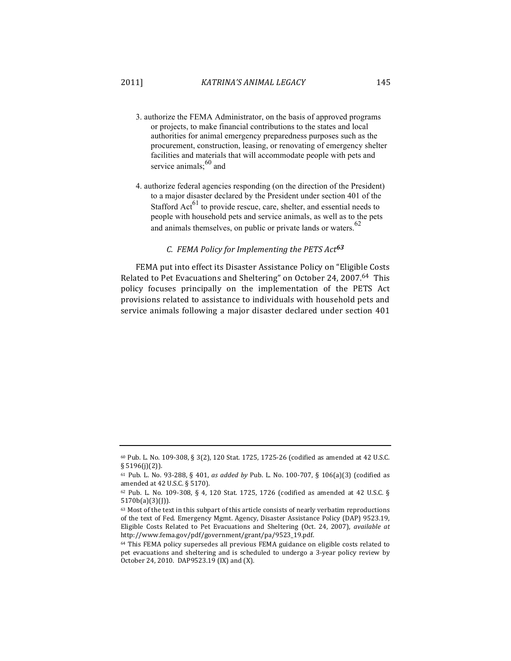- 3. authorize the FEMA Administrator, on the basis of approved programs or projects, to make financial contributions to the states and local authorities for animal emergency preparedness purposes such as the procurement, construction, leasing, or renovating of emergency shelter facilities and materials that will accommodate people with pets and service animals;  $^{60}$  and
- 4. authorize federal agencies responding (on the direction of the President) to a major disaster declared by the President under section 401 of the Stafford  $Act^{61}$  to provide rescue, care, shelter, and essential needs to people with household pets and service animals, as well as to the pets and animals themselves, on public or private lands or waters.<sup>62</sup>

# *C. FEMA Policy for Implementing the PETS Act<sup>63</sup>*

FEMA put into effect its Disaster Assistance Policy on "Eligible Costs" Related to Pet Evacuations and Sheltering" on October 24, 2007.<sup>64</sup> This policy focuses principally on the implementation of the PETS Act provisions related to assistance to individuals with household pets and service animals following a major disaster declared under section 401

 $60$  Pub. L. No. 109-308, § 3(2), 120 Stat. 1725, 1725-26 (codified as amended at 42 U.S.C. § 5196(j)(2)).

<sup>61</sup> Pub. L. No. 93-288, § 401, *as added by* Pub. L. No. 100-707, § 106(a)(3) (codified as amended at 42 U.S.C. § 5170).

 $62$  Pub. L. No. 109-308, § 4, 120 Stat. 1725, 1726 (codified as amended at 42 U.S.C. § 5170b(a)(3)(J)). 

<sup>63</sup> Most of the text in this subpart of this article consists of nearly verbatim reproductions of the text of Fed. Emergency Mgmt. Agency, Disaster Assistance Policy (DAP) 9523.19, Eligible Costs Related to Pet Evacuations and Sheltering (Oct. 24, 2007), *available at* http://www.fema.gov/pdf/government/grant/pa/9523\_19.pdf. 

 $64$  This FEMA policy supersedes all previous FEMA guidance on eligible costs related to pet evacuations and sheltering and is scheduled to undergo a 3-year policy review by October 24, 2010. DAP9523.19 (IX) and (X).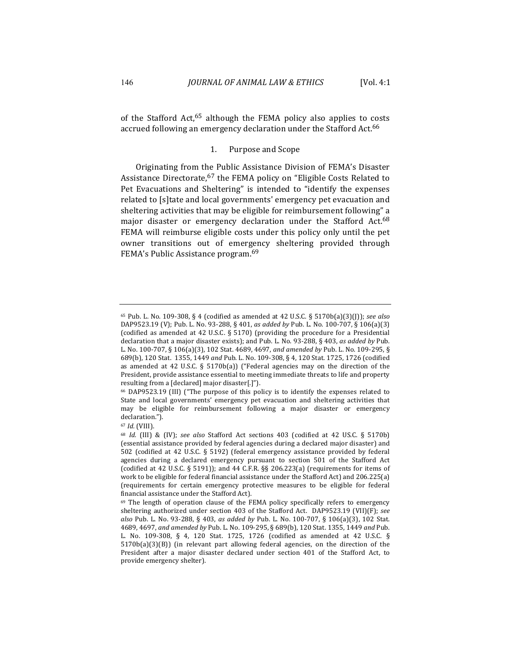of the Stafford Act,<sup>65</sup> although the FEMA policy also applies to costs accrued following an emergency declaration under the Stafford Act.<sup>66</sup>

### 1. Purpose and Scope

Originating from the Public Assistance Division of FEMA's Disaster Assistance Directorate,  $67$  the FEMA policy on "Eligible Costs Related to Pet Evacuations and Sheltering" is intended to "identify the expenses related to [s]tate and local governments' emergency pet evacuation and sheltering activities that may be eligible for reimbursement following" a major disaster or emergency declaration under the Stafford Act.<sup>68</sup> FEMA will reimburse eligible costs under this policy only until the pet owner transitions out of emergency sheltering provided through FEMA's Public Assistance program.<sup>69</sup>

<sup>65</sup> Pub. L. No. 109-308, § 4 (codified as amended at 42 U.S.C. § 5170b(a)(3)(J)); *see also* DAP9523.19 (V); Pub. L. No. 93-288, § 401, *as added by* Pub. L. No. 100-707, § 106(a)(3) (codified as amended at 42 U.S.C.  $\S$  5170) (providing the procedure for a Presidential declaration that a major disaster exists); and Pub. L. No. 93-288, § 403, *as added by* Pub. L. No. 100-707, § 106(a)(3), 102 Stat. 4689, 4697, *and amended by* Pub. L. No. 109-295, § 689(b), 120 Stat. 1355, 1449 and Pub. L. No. 109-308, § 4, 120 Stat. 1725, 1726 (codified as amended at  $42$  U.S.C. §  $5170b(a)$ ) ("Federal agencies may on the direction of the President, provide assistance essential to meeting immediate threats to life and property resulting from a [declared] major disaster[.]").

 $66$  DAP9523.19 (III) ("The purpose of this policy is to identify the expenses related to State and local governments' emergency pet evacuation and sheltering activities that may be eligible for reimbursement following a major disaster or emergency declaration.").

<sup>67</sup> *Id.* (VIII).

<sup>&</sup>lt;sup>68</sup> *Id.* (III) & (IV); see also Stafford Act sections 403 (codified at 42 US.C. § 5170b) (essential assistance provided by federal agencies during a declared major disaster) and 502 (codified at 42 U.S.C. § 5192) (federal emergency assistance provided by federal agencies during a declared emergency pursuant to section 501 of the Stafford Act (codified at  $42$  U.S.C. § 5191)); and  $44$  C.F.R. §§ 206.223(a) (requirements for items of work to be eligible for federal financial assistance under the Stafford Act) and 206.225(a) (requirements for certain emergency protective measures to be eligible for federal financial assistance under the Stafford Act).

 $69$  The length of operation clause of the FEMA policy specifically refers to emergency sheltering authorized under section 403 of the Stafford Act. DAP9523.19 (VII)(F); see also Pub. L. No. 93-288, § 403, as added by Pub. L. No. 100-707, § 106(a)(3), 102 Stat. 4689, 4697, and amended by Pub. L. No. 109-295, § 689(b), 120 Stat. 1355, 1449 and Pub. L. No. 109-308, § 4, 120 Stat. 1725, 1726 (codified as amended at 42 U.S.C. §  $5170b(a)(3)(B)$  (in relevant part allowing federal agencies, on the direction of the President after a major disaster declared under section 401 of the Stafford Act, to provide emergency shelter).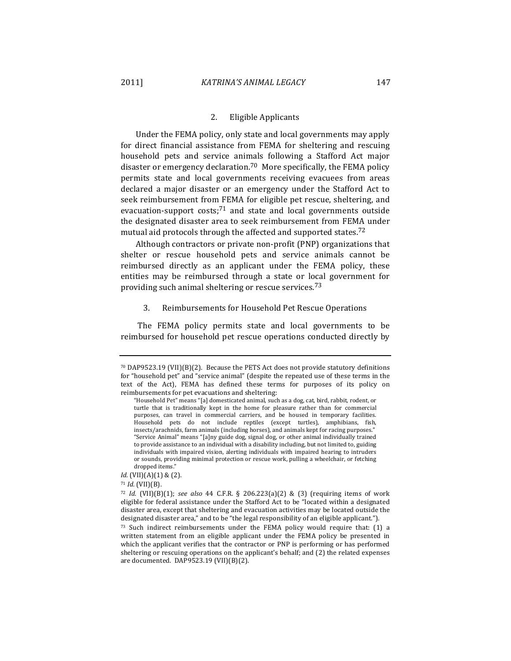## 2. Eligible Applicants

Under the FEMA policy, only state and local governments may apply for direct financial assistance from FEMA for sheltering and rescuing household pets and service animals following a Stafford Act major disaster or emergency declaration.<sup>70</sup> More specifically, the FEMA policy permits state and local governments receiving evacuees from areas declared a major disaster or an emergency under the Stafford Act to seek reimbursement from FEMA for eligible pet rescue, sheltering, and evacuation-support costs;<sup>71</sup> and state and local governments outside the designated disaster area to seek reimbursement from FEMA under mutual aid protocols through the affected and supported states.<sup>72</sup>

Although contractors or private non-profit (PNP) organizations that shelter or rescue household pets and service animals cannot be reimbursed directly as an applicant under the FEMA policy, these entities may be reimbursed through a state or local government for providing such animal sheltering or rescue services.<sup>73</sup>

## 3. Reimbursements for Household Pet Rescue Operations

The FEMA policy permits state and local governments to be reimbursed for household pet rescue operations conducted directly by

 $70$  DAP9523.19 (VII)(B)(2). Because the PETS Act does not provide statutory definitions for "household pet" and "service animal" (despite the repeated use of these terms in the text of the Act), FEMA has defined these terms for purposes of its policy on reimbursements for pet evacuations and sheltering:

<sup>&</sup>quot;Household Pet" means "[a] domesticated animal, such as a dog, cat, bird, rabbit, rodent, or turtle that is traditionally kept in the home for pleasure rather than for commercial purposes, can travel in commercial carriers, and be housed in temporary facilities. Household pets do not include reptiles (except turtles), amphibians, fish, insects/arachnids, farm animals (including horses), and animals kept for racing purposes." "Service Animal" means "[a]ny guide dog, signal dog, or other animal individually trained to provide assistance to an individual with a disability including, but not limited to, guiding individuals with impaired vision, alerting individuals with impaired hearing to intruders or sounds, providing minimal protection or rescue work, pulling a wheelchair, or fetching dropped items."

*Id.* (VII)(A)(1) & (2).

<sup>71</sup> *Id.* (VII)(B).

 $72$  *Id.* (VII)(B)(1); see also 44 C.F.R. § 206.223(a)(2) & (3) (requiring items of work eligible for federal assistance under the Stafford Act to be "located within a designated disaster area, except that sheltering and evacuation activities may be located outside the designated disaster area," and to be "the legal responsibility of an eligible applicant.").

 $73$  Such indirect reimbursements under the FEMA policy would require that:  $(1)$  a written statement from an eligible applicant under the FEMA policy be presented in which the applicant verifies that the contractor or PNP is performing or has performed sheltering or rescuing operations on the applicant's behalf; and  $(2)$  the related expenses are documented. DAP9523.19 (VII)(B)(2).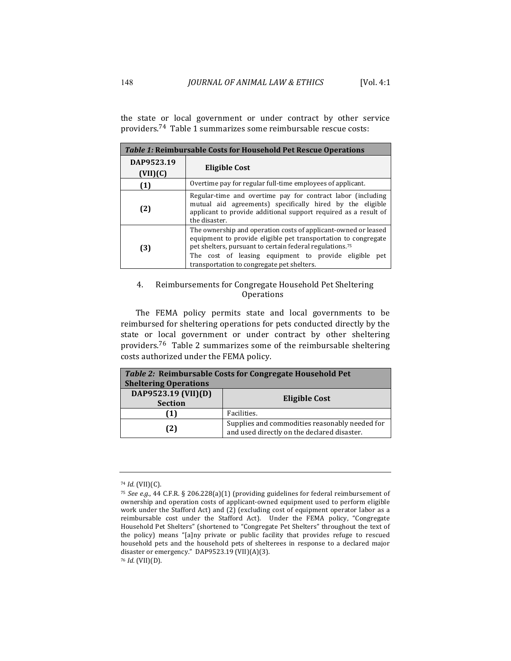the state or local government or under contract by other service providers.<sup>74</sup> Table 1 summarizes some reimbursable rescue costs:

| <i>Table 1:</i> Reimbursable Costs for Household Pet Rescue Operations |                                                                                                                                                                                                                                                                                                                    |  |
|------------------------------------------------------------------------|--------------------------------------------------------------------------------------------------------------------------------------------------------------------------------------------------------------------------------------------------------------------------------------------------------------------|--|
| DAP9523.19<br>(VII)(C)                                                 | Eligible Cost                                                                                                                                                                                                                                                                                                      |  |
| (1)                                                                    | Overtime pay for regular full-time employees of applicant.                                                                                                                                                                                                                                                         |  |
| (2)                                                                    | Regular-time and overtime pay for contract labor (including<br>mutual aid agreements) specifically hired by the eligible<br>applicant to provide additional support required as a result of<br>the disaster.                                                                                                       |  |
| (3)                                                                    | The ownership and operation costs of applicant-owned or leased<br>equipment to provide eligible pet transportation to congregate<br>pet shelters, pursuant to certain federal regulations. <sup>75</sup><br>The cost of leasing equipment to provide eligible<br>pet<br>transportation to congregate pet shelters. |  |

# 4. Reimbursements for Congregate Household Pet Sheltering **Operations**

The FEMA policy permits state and local governments to be reimbursed for sheltering operations for pets conducted directly by the state or local government or under contract by other sheltering providers.<sup>76</sup> Table 2 summarizes some of the reimbursable sheltering costs authorized under the FEMA policy.

| <b>Sheltering Operations</b>          | Table 2: Reimbursable Costs for Congregate Household Pet                                      |
|---------------------------------------|-----------------------------------------------------------------------------------------------|
| DAP9523.19 (VII)(D)<br><b>Section</b> | Eligible Cost                                                                                 |
|                                       | Facilities.                                                                                   |
| (2)                                   | Supplies and commodities reasonably needed for<br>and used directly on the declared disaster. |

<sup>76</sup> *Id.* (VII)(D).

<sup>74</sup> *Id.* (VII)(C).

<sup>&</sup>lt;sup>75</sup> *See e.g.*, 44 C.F.R. § 206.228(a)(1) (providing guidelines for federal reimbursement of ownership and operation costs of applicant-owned equipment used to perform eligible work under the Stafford Act) and (2) (excluding cost of equipment operator labor as a reimbursable cost under the Stafford Act). Under the FEMA policy, "Congregate Household Pet Shelters" (shortened to "Congregate Pet Shelters" throughout the text of the policy) means "[a]ny private or public facility that provides refuge to rescued household pets and the household pets of shelterees in response to a declared major disaster or emergency." DAP9523.19 (VII)(A)(3).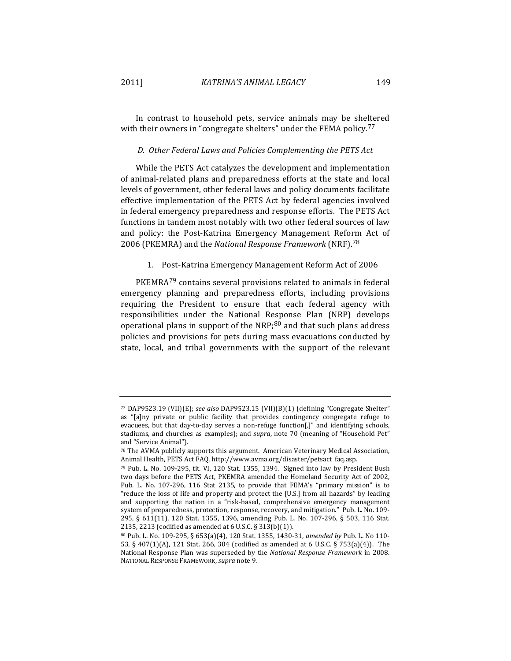In contrast to household pets, service animals may be sheltered with their owners in "congregate shelters" under the FEMA policy.<sup>77</sup>

#### *D. Other Federal Laws and Policies Complementing the PETS Act*

While the PETS Act catalyzes the development and implementation of animal-related plans and preparedness efforts at the state and local levels of government, other federal laws and policy documents facilitate effective implementation of the PETS Act by federal agencies involved in federal emergency preparedness and response efforts. The PETS Act functions in tandem most notably with two other federal sources of law and policy: the Post-Katrina Emergency Management Reform Act of 2006 (PKEMRA) and the *National Response Framework* (NRF).<sup>78</sup>

## 1. Post-Katrina Emergency Management Reform Act of 2006

 $PKEMRA^{79}$  contains several provisions related to animals in federal emergency planning and preparedness efforts, including provisions requiring the President to ensure that each federal agency with responsibilities under the National Response Plan (NRP) develops operational plans in support of the NRP; $80$  and that such plans address policies and provisions for pets during mass evacuations conducted by state, local, and tribal governments with the support of the relevant

<sup>77</sup> DAP9523.19 (VII)(E); see also DAP9523.15 (VII)(B)(1) (defining "Congregate Shelter" as "[a]ny private or public facility that provides contingency congregate refuge to evacuees, but that day-to-day serves a non-refuge function[,]" and identifying schools, stadiums, and churches as examples); and *supra*, note 70 (meaning of "Household Pet" and "Service Animal").

<sup>78</sup> The AVMA publicly supports this argument. American Veterinary Medical Association, Animal Health, PETS Act FAQ, http://www.avma.org/disaster/petsact\_faq.asp.

<sup>79</sup> Pub. L. No. 109-295, tit. VI, 120 Stat. 1355, 1394. Signed into law by President Bush two days before the PETS Act, PKEMRA amended the Homeland Security Act of 2002, Pub. L. No. 107-296, 116 Stat 2135, to provide that FEMA's "primary mission" is to "reduce the loss of life and property and protect the  $[U.S.]$  from all hazards" by leading and supporting the nation in a "risk-based, comprehensive emergency management system of preparedness, protection, response, recovery, and mitigation." Pub. L. No. 109-295, § 611(11), 120 Stat. 1355, 1396, amending Pub. L. No. 107-296, § 503, 116 Stat. 2135, 2213 (codified as amended at  $6$  U.S.C.  $\S$  313(b)(1)).

<sup>80</sup> Pub. L. No. 109-295, § 653(a)(4), 120 Stat. 1355, 1430-31, *amended by* Pub. L. No 110- 53, § 407(1)(A), 121 Stat. 266, 304 (codified as amended at 6 U.S.C. § 753(a)(4)). The National Response Plan was superseded by the *National Response Framework* in 2008. NATIONAL RESPONSE FRAMEWORK, *supra* note 9.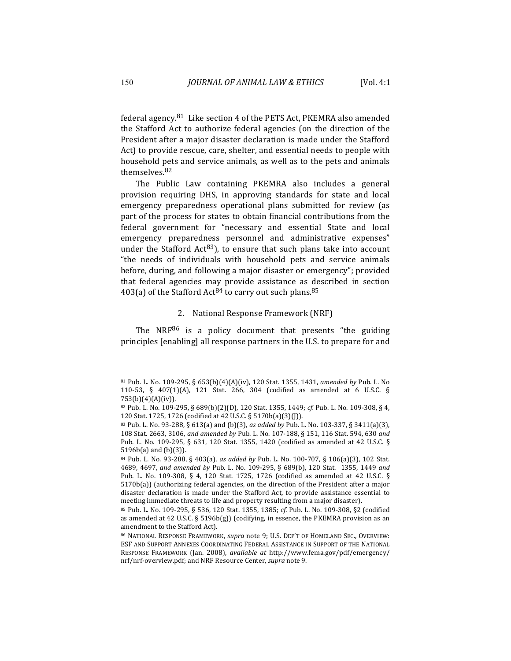federal agency.<sup>81</sup> Like section 4 of the PETS Act, PKEMRA also amended the Stafford Act to authorize federal agencies (on the direction of the President after a major disaster declaration is made under the Stafford Act) to provide rescue, care, shelter, and essential needs to people with household pets and service animals, as well as to the pets and animals themselves. 82

The Public Law containing PKEMRA also includes a general provision requiring DHS, in approving standards for state and local emergency preparedness operational plans submitted for review (as part of the process for states to obtain financial contributions from the federal government for "necessary and essential State and local emergency preparedness personnel and administrative expenses" under the Stafford Act<sup>83</sup>), to ensure that such plans take into account "the needs of individuals with household pets and service animals before, during, and following a major disaster or emergency"; provided that federal agencies may provide assistance as described in section 403(a) of the Stafford Act<sup>84</sup> to carry out such plans.<sup>85</sup>

# 2. National Response Framework (NRF)

The  $NRF^{86}$  is a policy document that presents "the guiding principles [enabling] all response partners in the U.S. to prepare for and

<sup>81</sup> Pub. L. No. 109-295, § 653(b)(4)(A)(iv), 120 Stat. 1355, 1431, *amended by* Pub. L. No 110-53, § 407(1)(A), 121 Stat. 266, 304 (codified as amended at 6 U.S.C. § 753(b)(4)(A)(iv)). 

<sup>82</sup> Pub. L. No. 109-295, § 689(b)(2)(D), 120 Stat. 1355, 1449; *cf.* Pub. L. No. 109-308, § 4, 120 Stat. 1725, 1726 (codified at 42 U.S.C. § 5170b(a)(3)(J)).

<sup>83</sup> Pub. L. No. 93-288, § 613(a) and (b)(3), *as added by* Pub. L. No. 103-337, § 3411(a)(3), 108 Stat. 2663, 3106, *and amended by* Pub. L. No. 107-188, § 151, 116 Stat. 594, 630 *and* Pub. L. No. 109-295, § 631, 120 Stat. 1355, 1420 (codified as amended at 42 U.S.C. §  $5196b(a)$  and  $(b)(3)$ ).

<sup>84</sup> Pub. L. No. 93-288, § 403(a), as added by Pub. L. No. 100-707, § 106(a)(3), 102 Stat. 4689, 4697, and amended by Pub. L. No. 109-295, § 689(b), 120 Stat. 1355, 1449 and Pub. L. No. 109-308, § 4, 120 Stat. 1725, 1726 (codified as amended at 42 U.S.C. §  $5170b(a)$ ) (authorizing federal agencies, on the direction of the President after a major disaster declaration is made under the Stafford Act, to provide assistance essential to meeting immediate threats to life and property resulting from a major disaster).

<sup>85</sup> Pub. L. No. 109-295, § 536, 120 Stat. 1355, 1385; *cf.* Pub. L. No. 109-308, §2 (codified as amended at 42 U.S.C. § 5196b(g)) (codifying, in essence, the PKEMRA provision as an amendment to the Stafford Act).

<sup>86</sup> NATIONAL RESPONSE FRAMEWORK, *supra* note 9; U.S. DEP'T OF HOMELAND SEC., OVERVIEW: ESF AND SUPPORT ANNEXES COORDINATING FEDERAL ASSISTANCE IN SUPPORT OF THE NATIONAL RESPONSE FRAMEWORK (Jan. 2008), *available at http://www.fema.gov/pdf/emergency/* nrf/nrf-overview.pdf; and NRF Resource Center, *supra* note 9.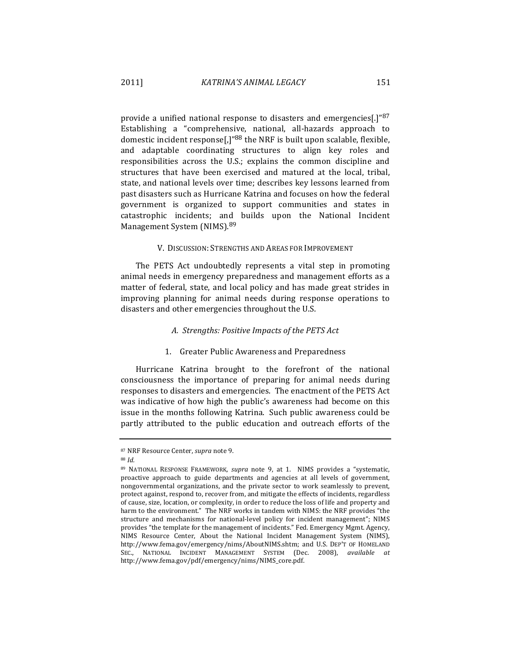provide a unified national response to disasters and emergencies[.]" $87$ Establishing a "comprehensive, national, all-hazards approach to domestic incident response $\left[\frac{1}{88}$  the NRF is built upon scalable, flexible, and adaptable coordinating structures to align key roles and responsibilities across the U.S.; explains the common discipline and structures that have been exercised and matured at the local, tribal, state, and national levels over time; describes key lessons learned from past disasters such as Hurricane Katrina and focuses on how the federal government is organized to support communities and states in catastrophic incidents; and builds upon the National Incident Management System (NIMS).<sup>89</sup>

### V. DISCUSSION: STRENGTHS AND AREAS FOR IMPROVEMENT

The PETS Act undoubtedly represents a vital step in promoting animal needs in emergency preparedness and management efforts as a matter of federal, state, and local policy and has made great strides in improving planning for animal needs during response operations to disasters and other emergencies throughout the U.S.

## *A. Strengths: Positive Impacts of the PETS Act*

## 1. Greater Public Awareness and Preparedness

Hurricane Katrina brought to the forefront of the national consciousness the importance of preparing for animal needs during responses to disasters and emergencies. The enactment of the PETS Act was indicative of how high the public's awareness had become on this issue in the months following Katrina. Such public awareness could be partly attributed to the public education and outreach efforts of the

<sup>87</sup> NRF Resource Center, *supra* note 9.

<sup>88</sup> *Id.*

<sup>89</sup> NATIONAL RESPONSE FRAMEWORK, *supra* note 9, at 1. NIMS provides a "systematic, proactive approach to guide departments and agencies at all levels of government, nongovernmental organizations, and the private sector to work seamlessly to prevent, protect against, respond to, recover from, and mitigate the effects of incidents, regardless of cause, size, location, or complexity, in order to reduce the loss of life and property and harm to the environment." The NRF works in tandem with NIMS: the NRF provides "the structure and mechanisms for national-level policy for incident management"; NIMS provides "the template for the management of incidents." Fed. Emergency Mgmt. Agency, NIMS Resource Center, About the National Incident Management System (NIMS), http://www.fema.gov/emergency/nims/AboutNIMS.shtm; and U.S. DEP'T OF HOMELAND SEC., NATIONAL INCIDENT MANAGEMENT SYSTEM (Dec. 2008), *available at* http://www.fema.gov/pdf/emergency/nims/NIMS\_core.pdf.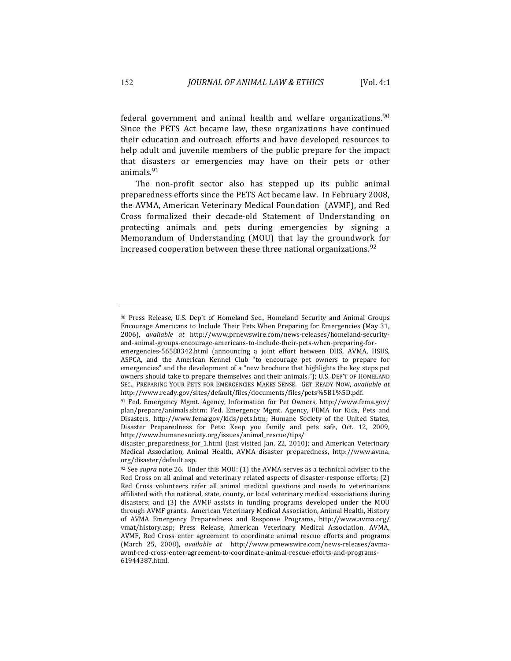federal government and animal health and welfare organizations.<sup>90</sup> Since the PETS Act became law, these organizations have continued their education and outreach efforts and have developed resources to help adult and juvenile members of the public prepare for the impact that disasters or emergencies may have on their pets or other animals.91

The non-profit sector also has stepped up its public animal preparedness efforts since the PETS Act became law. In February 2008, the AVMA, American Veterinary Medical Foundation (AVMF), and Red Cross formalized their decade-old Statement of Understanding on protecting animals and pets during emergencies by signing a Memorandum of Understanding (MOU) that lay the groundwork for increased cooperation between these three national organizations.  $92$ 

<sup>90</sup> Press Release, U.S. Dep't of Homeland Sec., Homeland Security and Animal Groups Encourage Americans to Include Their Pets When Preparing for Emergencies (May 31, 2006), *available at* http://www.prnewswire.com/news-releases/homeland-securityand-animal-groups-encourage-americans-to-include-their-pets-when-preparing-for-

emergencies-56588342.html (announcing a joint effort between DHS, AVMA, HSUS, ASPCA, and the American Kennel Club "to encourage pet owners to prepare for emergencies" and the development of a "new brochure that highlights the key steps pet owners should take to prepare themselves and their animals."); U.S. DEP'T OF HOMELAND SEC., PREPARING YOUR PETS FOR EMERGENCIES MAKES SENSE. GET READY NOW, *available at* http://www.ready.gov/sites/default/files/documents/files/pets%5B1%5D.pdf. 

<sup>91</sup> Fed. Emergency Mgmt. Agency, Information for Pet Owners, http://www.fema.gov/ plan/prepare/animals.shtm; Fed. Emergency Mgmt. Agency, FEMA for Kids, Pets and Disasters, http://www.fema.gov/kids/pets.htm; Humane Society of the United States, Disaster Preparedness for Pets: Keep you family and pets safe, Oct. 12, 2009, http://www.humanesociety.org/issues/animal\_rescue/tips/

disaster\_preparedness\_for\_1.html (last visited Jan. 22, 2010); and American Veterinary Medical Association, Animal Health, AVMA disaster preparedness, http://www.avma. org/disaster/default.asp.

 $92$  See *supra* note 26. Under this MOU: (1) the AVMA serves as a technical adviser to the Red Cross on all animal and veterinary related aspects of disaster-response efforts; (2) Red Cross volunteers refer all animal medical questions and needs to veterinarians affiliated with the national, state, county, or local veterinary medical associations during disasters; and (3) the AVMF assists in funding programs developed under the MOU through AVMF grants. American Veterinary Medical Association, Animal Health, History of AVMA Emergency Preparedness and Response Programs, http://www.avma.org/ vmat/history.asp; Press Release, American Veterinary Medical Association, AVMA, AVMF, Red Cross enter agreement to coordinate animal rescue efforts and programs (March 25, 2008), *available at* http://www.prnewswire.com/news-releases/avmaavmf-red-cross-enter-agreement-to-coordinate-animal-rescue-efforts-and-programs-61944387.html.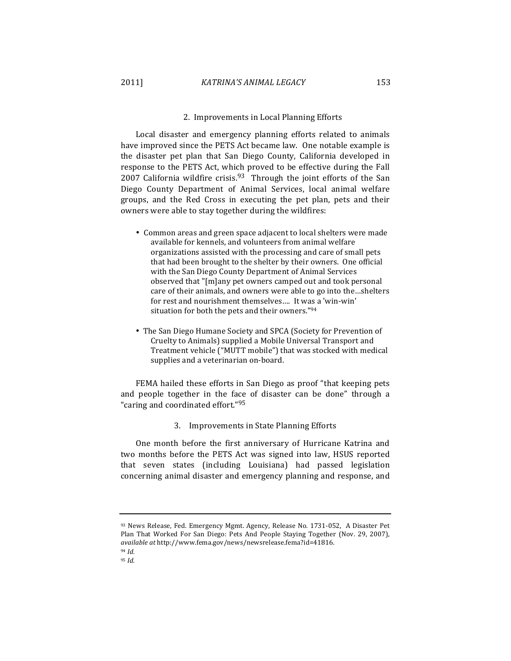### 2. Improvements in Local Planning Efforts

Local disaster and emergency planning efforts related to animals have improved since the PETS Act became law. One notable example is the disaster pet plan that San Diego County, California developed in response to the PETS Act, which proved to be effective during the Fall 2007 California wildfire crisis.<sup>93</sup> Through the joint efforts of the San Diego County Department of Animal Services, local animal welfare groups, and the Red Cross in executing the pet plan, pets and their owners were able to stay together during the wildfires:

- Common areas and green space adjacent to local shelters were made available for kennels, and volunteers from animal welfare organizations assisted with the processing and care of small pets that had been brought to the shelter by their owners. One official with the San Diego County Department of Animal Services observed that "[m]any pet owners camped out and took personal care of their animals, and owners were able to go into the...shelters for rest and nourishment themselves.... It was a 'win-win' situation for both the pets and their owners."94
- The San Diego Humane Society and SPCA (Society for Prevention of Cruelty to Animals) supplied a Mobile Universal Transport and Treatment vehicle ("MUTT mobile") that was stocked with medical supplies and a veterinarian on-board.

FEMA hailed these efforts in San Diego as proof "that keeping pets and people together in the face of disaster can be done" through a "caring and coordinated effort."95

3. Improvements in State Planning Efforts

One month before the first anniversary of Hurricane Katrina and two months before the PETS Act was signed into law, HSUS reported that seven states (including Louisiana) had passed legislation concerning animal disaster and emergency planning and response, and

<sup>93</sup> News Release, Fed. Emergency Mgmt. Agency, Release No. 1731-052, A Disaster Pet Plan That Worked For San Diego: Pets And People Staying Together (Nov. 29, 2007), *available at* http://www.fema.gov/news/newsrelease.fema?id=41816. 

<sup>94</sup> *Id.*

<sup>95</sup> *Id.*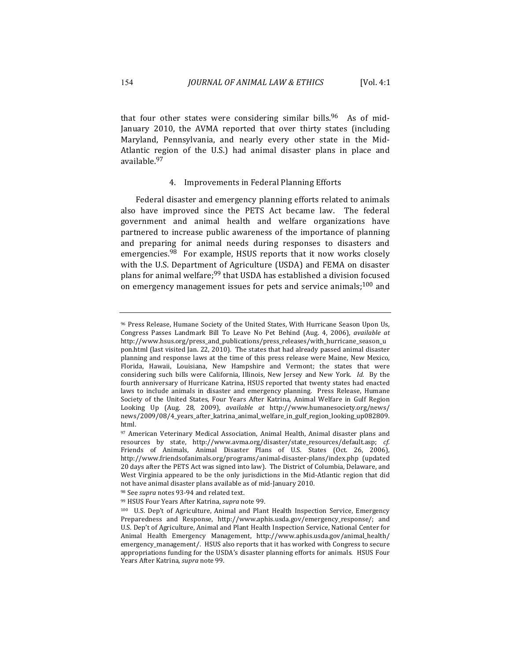that four other states were considering similar bills.<sup>96</sup> As of mid-January 2010, the AVMA reported that over thirty states (including Maryland, Pennsylvania, and nearly every other state in the Mid-Atlantic region of the U.S.) had animal disaster plans in place and available.97 

### 4. Improvements in Federal Planning Efforts

Federal disaster and emergency planning efforts related to animals also have improved since the PETS Act became law. The federal government and animal health and welfare organizations have partnered to increase public awareness of the importance of planning and preparing for animal needs during responses to disasters and emergencies. $98$  For example, HSUS reports that it now works closely with the U.S. Department of Agriculture (USDA) and FEMA on disaster plans for animal welfare;<sup>99</sup> that USDA has established a division focused on emergency management issues for pets and service animals;  $100$  and

<sup>&</sup>lt;sup>96</sup> Press Release, Humane Society of the United States, With Hurricane Season Upon Us, Congress Passes Landmark Bill To Leave No Pet Behind (Aug. 4, 2006), *available at* http://www.hsus.org/press\_and\_publications/press\_releases/with\_hurricane\_season\_u pon.html (last visited Jan. 22, 2010). The states that had already passed animal disaster planning and response laws at the time of this press release were Maine, New Mexico, Florida, Hawaii, Louisiana, New Hampshire and Vermont; the states that were considering such bills were California, Illinois, New Jersey and New York. *Id.* By the fourth anniversary of Hurricane Katrina, HSUS reported that twenty states had enacted laws to include animals in disaster and emergency planning. Press Release, Humane Society of the United States, Four Years After Katrina, Animal Welfare in Gulf Region Looking Up (Aug. 28, 2009), *available at http://www.humanesociety.org/news/* news/2009/08/4\_years\_after\_katrina\_animal\_welfare\_in\_gulf\_region\_looking\_up082809. html. 

<sup>97</sup> American Veterinary Medical Association, Animal Health, Animal disaster plans and resources by state, http://www.avma.org/disaster/state\_resources/default.asp; *cf.* Friends of Animals, Animal Disaster Plans of U.S. States (Oct. 26, 2006), http://www.friendsofanimals.org/programs/animal-disaster-plans/index.php (updated 20 days after the PETS Act was signed into law). The District of Columbia, Delaware, and West Virginia appeared to be the only jurisdictions in the Mid-Atlantic region that did not have animal disaster plans available as of mid-January 2010.

<sup>&</sup>lt;sup>98</sup> See *supra* notes 93-94 and related text.

<sup>99</sup> HSUS Four Years After Katrina, *supra* note 99.

<sup>100</sup> U.S. Dep't of Agriculture, Animal and Plant Health Inspection Service, Emergency Preparedness and Response, http://www.aphis.usda.gov/emergency\_response/; and U.S. Dep't of Agriculture, Animal and Plant Health Inspection Service, National Center for Animal Health Emergency Management, http://www.aphis.usda.gov/animal\_health/ emergency\_management/. HSUS also reports that it has worked with Congress to secure appropriations funding for the USDA's disaster planning efforts for animals. HSUS Four Years After Katrina, *supra* note 99.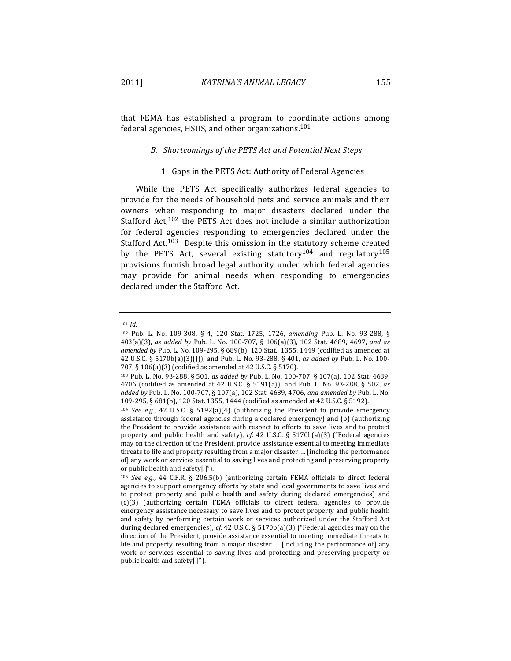that FEMA has established a program to coordinate actions among federal agencies, HSUS, and other organizations.  $101$ 

## *B. Shortcomings of the PETS Act and Potential Next Steps*

### 1. Gaps in the PETS Act: Authority of Federal Agencies

While the PETS Act specifically authorizes federal agencies to provide for the needs of household pets and service animals and their owners when responding to major disasters declared under the Stafford Act, $102$  the PETS Act does not include a similar authorization for federal agencies responding to emergencies declared under the Stafford Act.<sup>103</sup> Despite this omission in the statutory scheme created by the PETS Act, several existing statutory<sup>104</sup> and regulatory<sup>105</sup> provisions furnish broad legal authority under which federal agencies may provide for animal needs when responding to emergencies declared under the Stafford Act.

<sup>101</sup> *Id.*

<sup>102</sup> Pub. L. No. 109-308, § 4, 120 Stat. 1725, 1726, amending Pub. L. No. 93-288, § 403(a)(3), *as added by* Pub. L. No. 100-707, § 106(a)(3), 102 Stat. 4689, 4697, *and as* amended by Pub. L. No. 109-295, § 689(b), 120 Stat. 1355, 1449 (codified as amended at 42 U.S.C. § 5170b(a)(3)(J)); and Pub. L. No. 93-288, § 401, *as added by* Pub. L. No. 100-707, § 106(a)(3) (codified as amended at 42 U.S.C. § 5170).

<sup>103</sup> Pub. L. No. 93-288, § 501, *as added by* Pub. L. No. 100-707, § 107(a), 102 Stat. 4689, 4706 (codified as amended at 42 U.S.C. § 5191(a)); and Pub. L. No. 93-288, § 502, as added by Pub. L. No. 100-707, § 107(a), 102 Stat. 4689, 4706, and amended by Pub. L. No. 109-295, § 681(b), 120 Stat. 1355, 1444 (codified as amended at 42 U.S.C. § 5192).

<sup>&</sup>lt;sup>104</sup> *See e.g.*, 42 U.S.C. § 5192(a)(4) (authorizing the President to provide emergency assistance through federal agencies during a declared emergency) and (b) (authorizing the President to provide assistance with respect to efforts to save lives and to protect property and public health and safety), cf. 42 U.S.C. § 5170b(a)(3) ("Federal agencies may on the direction of the President, provide assistance essential to meeting immediate threats to life and property resulting from a major disaster ... [including the performance of] any work or services essential to saving lives and protecting and preserving property or public health and safety[.]").

<sup>&</sup>lt;sup>105</sup> See e.g., 44 C.F.R. § 206.5(b) (authorizing certain FEMA officials to direct federal agencies to support emergency efforts by state and local governments to save lives and to protect property and public health and safety during declared emergencies) and (c)(3) (authorizing certain FEMA officials to direct federal agencies to provide emergency assistance necessary to save lives and to protect property and public health and safety by performing certain work or services authorized under the Stafford Act during declared emergencies); cf. 42 U.S.C. § 5170b(a)(3) ("Federal agencies may on the direction of the President, provide assistance essential to meeting immediate threats to life and property resulting from a major disaster  $\ldots$  [including the performance of] any work or services essential to saving lives and protecting and preserving property or public health and safety[.]").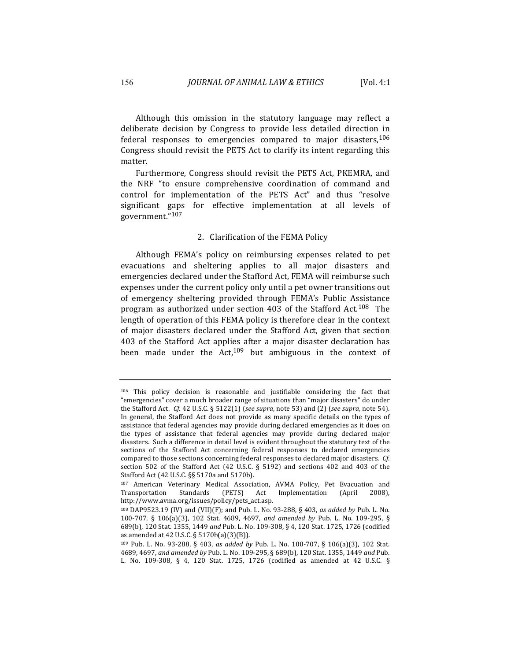Although this omission in the statutory language may reflect a deliberate decision by Congress to provide less detailed direction in federal responses to emergencies compared to major disasters,  $106$ Congress should revisit the PETS Act to clarify its intent regarding this matter. 

Furthermore, Congress should revisit the PETS Act, PKEMRA, and the NRF "to ensure comprehensive coordination of command and control for implementation of the PETS Act" and thus "resolve significant gaps for effective implementation at all levels of government."107 

#### 2. Clarification of the FEMA Policy

Although FEMA's policy on reimbursing expenses related to pet. evacuations and sheltering applies to all major disasters and emergencies declared under the Stafford Act, FEMA will reimburse such expenses under the current policy only until a pet owner transitions out of emergency sheltering provided through FEMA's Public Assistance program as authorized under section 403 of the Stafford Act.<sup>108</sup> The length of operation of this FEMA policy is therefore clear in the context of major disasters declared under the Stafford Act, given that section 403 of the Stafford Act applies after a major disaster declaration has been made under the  $Act,^{109}$  but ambiguous in the context of

 $106$  This policy decision is reasonable and justifiable considering the fact that "emergencies" cover a much broader range of situations than "major disasters" do under the Stafford Act. *Cf.* 42 U.S.C. § 5122(1) (*see supra*, note 53) and (2) (*see supra*, note 54). In general, the Stafford Act does not provide as many specific details on the types of assistance that federal agencies may provide during declared emergencies as it does on the types of assistance that federal agencies may provide during declared major disasters. Such a difference in detail level is evident throughout the statutory text of the sections of the Stafford Act concerning federal responses to declared emergencies compared to those sections concerning federal responses to declared major disasters. *Cf.* section  $502$  of the Stafford Act (42 U.S.C. § 5192) and sections 402 and 403 of the Stafford Act (42 U.S.C. §§ 5170a and 5170b).

<sup>&</sup>lt;sup>107</sup> American Veterinary Medical Association, AVMA Policy, Pet Evacuation and Transportation Standards (PETS) Act Implementation (April 2008), http://www.avma.org/issues/policy/pets\_act.asp. 

<sup>108</sup> DAP9523.19 (IV) and (VII)(F); and Pub. L. No. 93-288, § 403, *as added by* Pub. L. No. 100-707, § 106(a)(3), 102 Stat. 4689, 4697, *and amended by* Pub. L. No. 109-295, § 689(b), 120 Stat. 1355, 1449 and Pub. L. No. 109-308, § 4, 120 Stat. 1725, 1726 (codified as amended at 42 U.S.C.  $\S 5170b(a)(3)(B)$ .

<sup>109</sup> Pub. L. No. 93-288, § 403, *as added by* Pub. L. No. 100-707, § 106(a)(3), 102 Stat. 4689, 4697, and amended by Pub. L. No. 109-295, § 689(b), 120 Stat. 1355, 1449 and Pub. L. No. 109-308, § 4, 120 Stat. 1725, 1726 (codified as amended at 42 U.S.C. §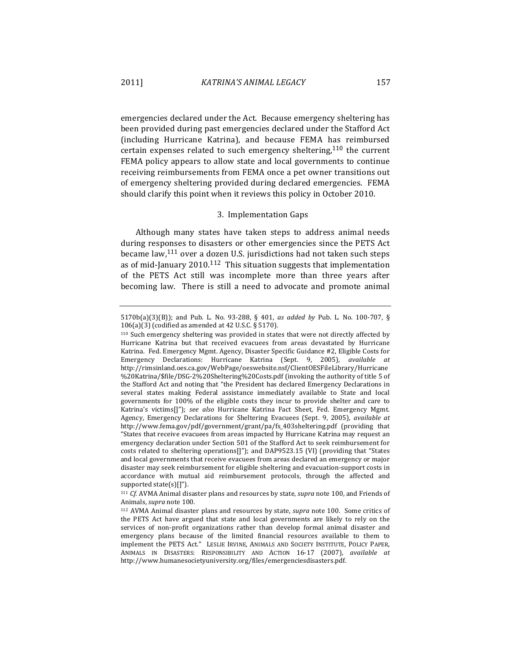emergencies declared under the Act. Because emergency sheltering has been provided during past emergencies declared under the Stafford Act (including Hurricane Katrina), and because FEMA has reimbursed certain expenses related to such emergency sheltering,  $110$  the current FEMA policy appears to allow state and local governments to continue receiving reimbursements from FEMA once a pet owner transitions out of emergency sheltering provided during declared emergencies. FEMA should clarify this point when it reviews this policy in October 2010.

## 3. Implementation Gaps

Although many states have taken steps to address animal needs during responses to disasters or other emergencies since the PETS Act became law, $111$  over a dozen U.S. jurisdictions had not taken such steps as of mid-January  $2010$ .<sup>112</sup> This situation suggests that implementation of the PETS Act still was incomplete more than three years after becoming law. There is still a need to advocate and promote animal

<sup>5170</sup>b(a)(3)(B)); and Pub. L. No. 93-288, § 401, *as added by* Pub. L. No. 100-707, §  $106(a)(3)$  (codified as amended at 42 U.S.C. § 5170).

<sup>110</sup> Such emergency sheltering was provided in states that were not directly affected by Hurricane Katrina but that received evacuees from areas devastated by Hurricane Katrina. Fed. Emergency Mgmt. Agency, Disaster Specific Guidance #2, Eligible Costs for Emergency Declarations: Hurricane Katrina (Sept. 9, 2005), *available at* http://rimsinland.oes.ca.gov/WebPage/oeswebsite.nsf/ClientOESFileLibrary/Hurricane %20Katrina/\$file/DSG-2%20Sheltering%20Costs.pdf (invoking the authority of title 5 of the Stafford Act and noting that "the President has declared Emergency Declarations in several states making Federal assistance immediately available to State and local governments for 100% of the eligible costs they incur to provide shelter and care to Katrina's victims[]"); see also Hurricane Katrina Fact Sheet, Fed. Emergency Mgmt. Agency, Emergency Declarations for Sheltering Evacuees (Sept. 9, 2005), *available at* http://www.fema.gov/pdf/government/grant/pa/fs\_403sheltering.pdf (providing that "States that receive evacuees from areas impacted by Hurricane Katrina may request an emergency declaration under Section 501 of the Stafford Act to seek reimbursement for costs related to sheltering operations[]"); and DAP9523.15 (VI) (providing that "States and local governments that receive evacuees from areas declared an emergency or major disaster may seek reimbursement for eligible sheltering and evacuation-support costs in accordance with mutual aid reimbursement protocols, through the affected and supported state(s) $[]$ ").

 $111$  *Cf.* AVMA Animal disaster plans and resources by state, *supra* note 100, and Friends of Animals, *supra* note 100.

<sup>&</sup>lt;sup>112</sup> AVMA Animal disaster plans and resources by state, *supra* note 100. Some critics of the PETS Act have argued that state and local governments are likely to rely on the services of non-profit organizations rather than develop formal animal disaster and emergency plans because of the limited financial resources available to them to implement the PETS Act." LESLIE IRVINE, ANIMALS AND SOCIETY INSTITUTE, POLICY PAPER, ANIMALS IN DISASTERS: RESPONSIBILITY AND ACTION 16-17 (2007), *available at* http://www.humanesocietyuniversity.org/files/emergenciesdisasters.pdf.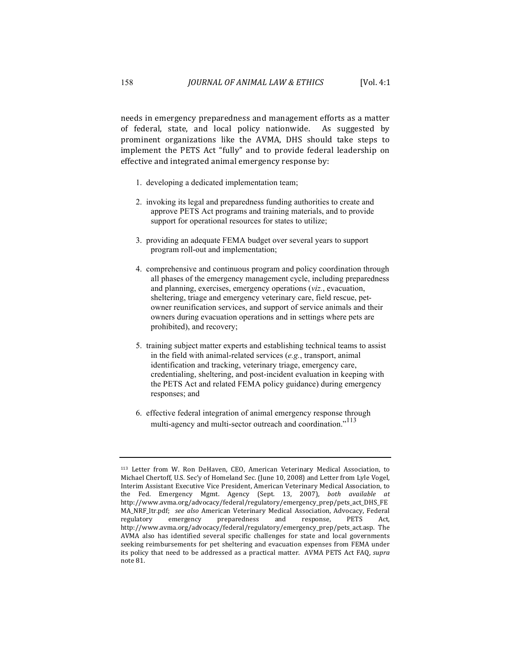needs in emergency preparedness and management efforts as a matter of federal, state, and local policy nationwide. As suggested by prominent organizations like the AVMA, DHS should take steps to implement the PETS Act "fully" and to provide federal leadership on effective and integrated animal emergency response by:

- 1. developing a dedicated implementation team;
- 2. invoking its legal and preparedness funding authorities to create and approve PETS Act programs and training materials, and to provide support for operational resources for states to utilize;
- 3. providing an adequate FEMA budget over several years to support program roll-out and implementation;
- 4. comprehensive and continuous program and policy coordination through all phases of the emergency management cycle, including preparedness and planning, exercises, emergency operations (*viz.*, evacuation, sheltering, triage and emergency veterinary care, field rescue, petowner reunification services, and support of service animals and their owners during evacuation operations and in settings where pets are prohibited), and recovery;
- 5. training subject matter experts and establishing technical teams to assist in the field with animal-related services (*e.g.*, transport, animal identification and tracking, veterinary triage, emergency care, credentialing, sheltering, and post-incident evaluation in keeping with the PETS Act and related FEMA policy guidance) during emergency responses; and
- 6. effective federal integration of animal emergency response through multi-agency and multi-sector outreach and coordination."<sup>113</sup>

<sup>113</sup> Letter from W. Ron DeHaven, CEO, American Veterinary Medical Association, to Michael Chertoff, U.S. Sec'y of Homeland Sec. (June 10, 2008) and Letter from Lyle Vogel, Interim Assistant Executive Vice President, American Veterinary Medical Association, to the Fed. Emergency Mgmt. Agency (Sept. 13, 2007), both available at http://www.avma.org/advocacy/federal/regulatory/emergency\_prep/pets\_act\_DHS\_FE MA\_NRF\_ltr.pdf; see also American Veterinary Medical Association, Advocacy, Federal regulatory emergency preparedness and response, PETS Act, http://www.avma.org/advocacy/federal/regulatory/emergency\_prep/pets\_act.asp. The AVMA also has identified several specific challenges for state and local governments seeking reimbursements for pet sheltering and evacuation expenses from FEMA under its policy that need to be addressed as a practical matter. AVMA PETS Act FAQ, *supra* note 81.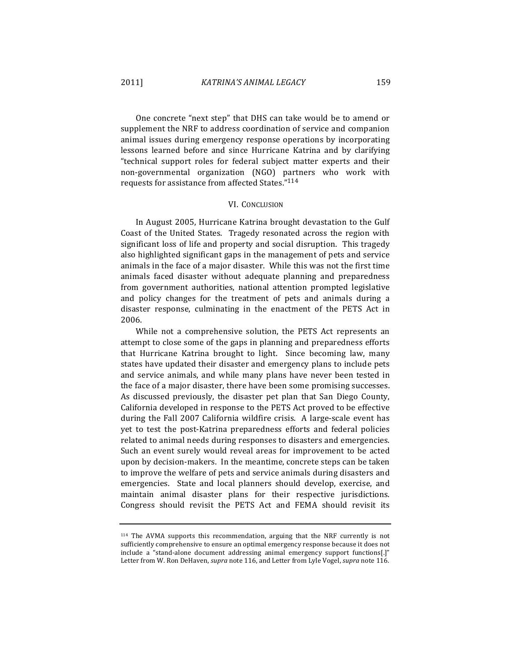One concrete "next step" that DHS can take would be to amend or supplement the NRF to address coordination of service and companion animal issues during emergency response operations by incorporating lessons learned before and since Hurricane Katrina and by clarifying "technical support roles for federal subject matter experts and their non-governmental organization (NGO) partners who work with requests for assistance from affected States."<sup>114</sup>

#### VI. CONCLUSION

In August 2005, Hurricane Katrina brought devastation to the Gulf Coast of the United States. Tragedy resonated across the region with significant loss of life and property and social disruption. This tragedy also highlighted significant gaps in the management of pets and service animals in the face of a major disaster. While this was not the first time animals faced disaster without adequate planning and preparedness from government authorities, national attention prompted legislative and policy changes for the treatment of pets and animals during a disaster response, culminating in the enactment of the PETS Act in 2006.

While not a comprehensive solution, the PETS Act represents an attempt to close some of the gaps in planning and preparedness efforts that Hurricane Katrina brought to light. Since becoming law, many states have updated their disaster and emergency plans to include pets and service animals, and while many plans have never been tested in the face of a major disaster, there have been some promising successes. As discussed previously, the disaster pet plan that San Diego County, California developed in response to the PETS Act proved to be effective during the Fall 2007 California wildfire crisis. A large-scale event has yet to test the post-Katrina preparedness efforts and federal policies related to animal needs during responses to disasters and emergencies. Such an event surely would reveal areas for improvement to be acted upon by decision-makers. In the meantime, concrete steps can be taken to improve the welfare of pets and service animals during disasters and emergencies. State and local planners should develop, exercise, and maintain animal disaster plans for their respective jurisdictions. Congress should revisit the PETS Act and FEMA should revisit its

<sup>114</sup> The AVMA supports this recommendation, arguing that the NRF currently is not sufficiently comprehensive to ensure an optimal emergency response because it does not include a "stand-alone document addressing animal emergency support functions[.]" Letter from W. Ron DeHaven, *supra* note 116, and Letter from Lyle Vogel, *supra* note 116.